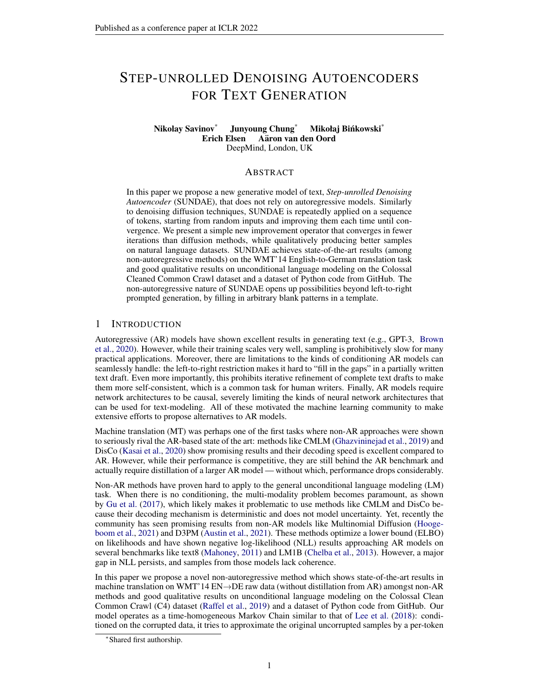# STEP-UNROLLED DENOISING AUTOENCODERS FOR TEXT GENERATION

#### Nikolay Savinov<sup>\*</sup> Junyoung Chung<sup>\*</sup> Mikołaj Bińkowski<sup>\*</sup> Erich Elsen Aäron van den Oord DeepMind, London, UK

#### **ABSTRACT**

In this paper we propose a new generative model of text, *Step-unrolled Denoising Autoencoder* (SUNDAE), that does not rely on autoregressive models. Similarly to denoising diffusion techniques, SUNDAE is repeatedly applied on a sequence of tokens, starting from random inputs and improving them each time until convergence. We present a simple new improvement operator that converges in fewer iterations than diffusion methods, while qualitatively producing better samples on natural language datasets. SUNDAE achieves state-of-the-art results (among non-autoregressive methods) on the WMT'14 English-to-German translation task and good qualitative results on unconditional language modeling on the Colossal Cleaned Common Crawl dataset and a dataset of Python code from GitHub. The non-autoregressive nature of SUNDAE opens up possibilities beyond left-to-right prompted generation, by filling in arbitrary blank patterns in a template.

## 1 INTRODUCTION

Autoregressive (AR) models have shown excellent results in generating text (e.g., GPT-3, [Brown](#page-9-0) [et al.,](#page-9-0) [2020\)](#page-9-0). However, while their training scales very well, sampling is prohibitively slow for many practical applications. Moreover, there are limitations to the kinds of conditioning AR models can seamlessly handle: the left-to-right restriction makes it hard to "fill in the gaps" in a partially written text draft. Even more importantly, this prohibits iterative refinement of complete text drafts to make them more self-consistent, which is a common task for human writers. Finally, AR models require network architectures to be causal, severely limiting the kinds of neural network architectures that can be used for text-modeling. All of these motivated the machine learning community to make extensive efforts to propose alternatives to AR models.

Machine translation (MT) was perhaps one of the first tasks where non-AR approaches were shown to seriously rival the AR-based state of the art: methods like CMLM [\(Ghazvininejad et al.,](#page-10-0) [2019\)](#page-10-0) and DisCo [\(Kasai et al.,](#page-10-1) [2020\)](#page-10-1) show promising results and their decoding speed is excellent compared to AR. However, while their performance is competitive, they are still behind the AR benchmark and actually require distillation of a larger AR model — without which, performance drops considerably.

Non-AR methods have proven hard to apply to the general unconditional language modeling (LM) task. When there is no conditioning, the multi-modality problem becomes paramount, as shown by [Gu et al.](#page-10-2) [\(2017\)](#page-10-2), which likely makes it problematic to use methods like CMLM and DisCo because their decoding mechanism is deterministic and does not model uncertainty. Yet, recently the community has seen promising results from non-AR models like Multinomial Diffusion [\(Hooge](#page-10-3)[boom et al.,](#page-10-3) [2021\)](#page-10-3) and D3PM [\(Austin et al.,](#page-9-1) [2021\)](#page-9-1). These methods optimize a lower bound (ELBO) on likelihoods and have shown negative log-likelihood (NLL) results approaching AR models on several benchmarks like text8 [\(Mahoney,](#page-11-0) [2011\)](#page-11-0) and LM1B [\(Chelba et al.,](#page-9-2) [2013\)](#page-9-2). However, a major gap in NLL persists, and samples from those models lack coherence.

In this paper we propose a novel non-autoregressive method which shows state-of-the-art results in machine translation on WMT'14 EN→DE raw data (without distillation from AR) amongst non-AR methods and good qualitative results on unconditional language modeling on the Colossal Clean Common Crawl (C4) dataset [\(Raffel et al.,](#page-11-1) [2019\)](#page-11-1) and a dataset of Python code from GitHub. Our model operates as a time-homogeneous Markov Chain similar to that of [Lee et al.](#page-11-2) [\(2018\)](#page-11-2): conditioned on the corrupted data, it tries to approximate the original uncorrupted samples by a per-token

<sup>∗</sup> Shared first authorship.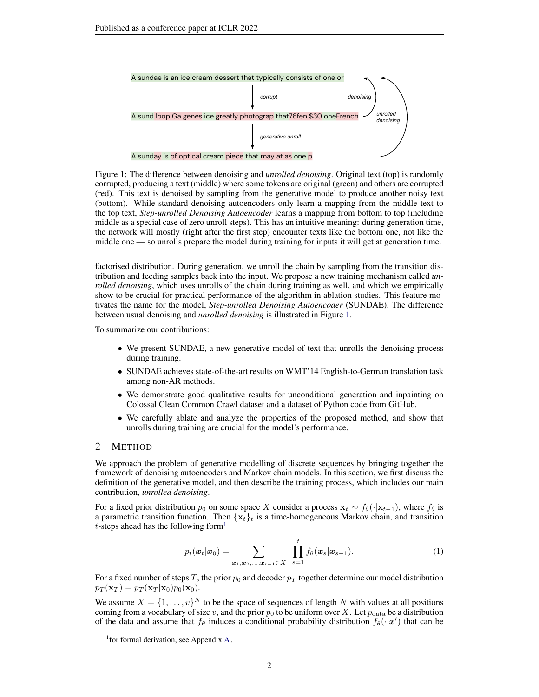<span id="page-1-0"></span>

Figure 1: The difference between denoising and *unrolled denoising*. Original text (top) is randomly corrupted, producing a text (middle) where some tokens are original (green) and others are corrupted (red). This text is denoised by sampling from the generative model to produce another noisy text (bottom). While standard denoising autoencoders only learn a mapping from the middle text to the top text, *Step-unrolled Denoising Autoencoder* learns a mapping from bottom to top (including middle as a special case of zero unroll steps). This has an intuitive meaning: during generation time, the network will mostly (right after the first step) encounter texts like the bottom one, not like the middle one — so unrolls prepare the model during training for inputs it will get at generation time.

factorised distribution. During generation, we unroll the chain by sampling from the transition distribution and feeding samples back into the input. We propose a new training mechanism called *unrolled denoising*, which uses unrolls of the chain during training as well, and which we empirically show to be crucial for practical performance of the algorithm in ablation studies. This feature motivates the name for the model, *Step-unrolled Denoising Autoencoder* (SUNDAE). The difference between usual denoising and *unrolled denoising* is illustrated in Figure [1.](#page-1-0)

To summarize our contributions:

- We present SUNDAE, a new generative model of text that unrolls the denoising process during training.
- SUNDAE achieves state-of-the-art results on WMT'14 English-to-German translation task among non-AR methods.
- We demonstrate good qualitative results for unconditional generation and inpainting on Colossal Clean Common Crawl dataset and a dataset of Python code from GitHub.
- We carefully ablate and analyze the properties of the proposed method, and show that unrolls during training are crucial for the model's performance.

#### 2 METHOD

We approach the problem of generative modelling of discrete sequences by bringing together the framework of denoising autoencoders and Markov chain models. In this section, we first discuss the definition of the generative model, and then describe the training process, which includes our main contribution, *unrolled denoising*.

For a fixed prior distribution  $p_0$  on some space X consider a process  $\mathbf{x}_t \sim f_\theta(\cdot|\mathbf{x}_{t-1})$ , where  $f_\theta$  is a parametric transition function. Then  ${x_t}_t$  is a time-homogeneous Markov chain, and transition t-steps ahead has the following form<sup>[1](#page-1-1)</sup>

<span id="page-1-2"></span>
$$
p_t(\mathbf{x}_t|\mathbf{x}_0) = \sum_{\mathbf{x}_1, \mathbf{x}_2, ..., \mathbf{x}_{t-1} \in X} \prod_{s=1}^t f_{\theta}(\mathbf{x}_s|\mathbf{x}_{s-1}).
$$
 (1)

For a fixed number of steps T, the prior  $p_0$  and decoder  $p_T$  together determine our model distribution  $p_T(\mathbf{x}_T) = p_T(\mathbf{x}_T | \mathbf{x}_0) p_0(\mathbf{x}_0).$ 

We assume  $X = \{1, \ldots, v\}^N$  to be the space of sequences of length N with values at all positions coming from a vocabulary of size v, and the prior  $p_0$  to be uniform over X. Let  $p_{data}$  be a distribution of the data and assume that  $f_\theta$  induces a conditional probability distribution  $f_\theta(\cdot|\mathbf{x}')$  that can be

<span id="page-1-1"></span><sup>&</sup>lt;sup>1</sup> for formal derivation, see Appendix [A.](#page-13-0)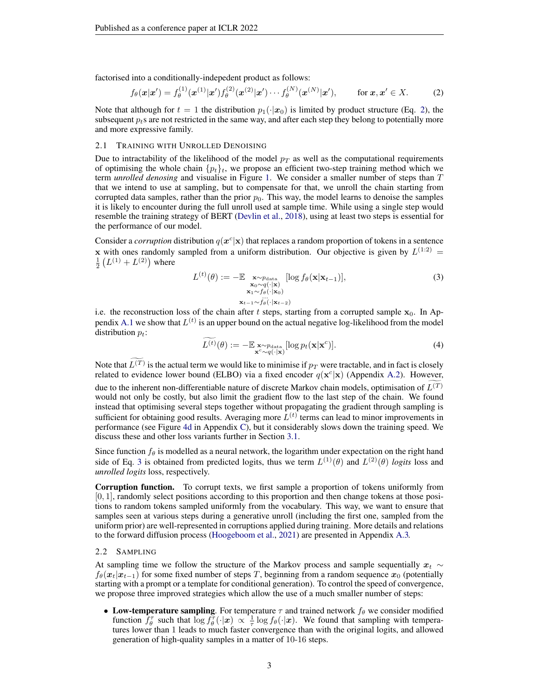factorised into a conditionally-indepedent product as follows:

<span id="page-2-0"></span>
$$
f_{\theta}(\mathbf{x}|\mathbf{x}') = f_{\theta}^{(1)}(\mathbf{x}^{(1)}|\mathbf{x}')f_{\theta}^{(2)}(\mathbf{x}^{(2)}|\mathbf{x}') \cdots f_{\theta}^{(N)}(\mathbf{x}^{(N)}|\mathbf{x}'), \quad \text{for } \mathbf{x}, \mathbf{x}' \in X. \tag{2}
$$

Note that although for  $t = 1$  the distribution  $p_1(\cdot|x_0)$  is limited by product structure (Eq. [2\)](#page-2-0), the subsequent  $p_t$ s are not restricted in the same way, and after each step they belong to potentially more and more expressive family.

#### 2.1 TRAINING WITH UNROLLED DENOISING

Due to intractability of the likelihood of the model  $p_T$  as well as the computational requirements of optimising the whole chain  $\{p_t\}_t$ , we propose an efficient two-step training method which we term *unrolled denosing* and visualise in Figure [1.](#page-1-0) We consider a smaller number of steps than T that we intend to use at sampling, but to compensate for that, we unroll the chain starting from corrupted data samples, rather than the prior  $p_0$ . This way, the model learns to denoise the samples it is likely to encounter during the full unroll used at sample time. While using a single step would resemble the training strategy of BERT [\(Devlin et al.,](#page-10-4) [2018\)](#page-10-4), using at least two steps is essential for the performance of our model.

Consider a *corruption* distribution  $q(x^c|x)$  that replaces a random proportion of tokens in a sentence x with ones randomly sampled from a uniform distribution. Our objective is given by  $L^{(1:2)}$  =  $\frac{1}{2}(L^{(1)} + L^{(2)})$  where

<span id="page-2-1"></span>
$$
L^{(t)}(\theta) := -\mathbb{E} \underset{\substack{\mathbf{x}_0 \sim q(\cdot|\mathbf{x}) \\ \mathbf{x}_1 \sim f_{\theta}(\cdot|\mathbf{x}_0)}}{\mathbb{E} \left[\log f_{\theta}(\mathbf{x}|\mathbf{x}_{t-1})\right]},
$$
(3)

$$
\mathbf{x}_{t-1} \sim f_{\theta}(\cdot | \mathbf{x}_{t-2})
$$

i.e. the reconstruction loss of the chain after t steps, starting from a corrupted sample  $x_0$ . In Ap-pendix [A.1](#page-13-1) we show that  $L^{(t)}$  is an upper bound on the actual negative log-likelihood from the model distribution  $p_t$ :

$$
\widetilde{L^{(t)}}(\theta) := -\mathbb{E} \underset{\mathbf{x}^c \sim q(\cdot|\mathbf{x})}{\times} [\log p_t(\mathbf{x}|\mathbf{x}^c)].
$$
\n(4)

Note that  $L^{(T)}$  is the actual term we would like to minimise if  $p_T$  were tractable, and in fact is closely related to evidence lower bound (ELBO) via a fixed encoder  $q(\mathbf{x}^c|\mathbf{x})$  (Appendix [A.2\)](#page-13-2). However, due to the inherent non-differentiable nature of discrete Markov chain models, optimisation of  $L^{(T)}$ would not only be costly, but also limit the gradient flow to the last step of the chain. We found instead that optimising several steps together without propagating the gradient through sampling is sufficient for obtaining good results. Averaging more  $L^{(t)}$  terms can lead to minor improvements in performance (see Figure [4d](#page-15-0) in Appendix [C\)](#page-14-0), but it considerably slows down the training speed. We discuss these and other loss variants further in Section [3.1.](#page-5-0)

Since function  $f_\theta$  is modelled as a neural network, the logarithm under expectation on the right hand side of Eq. [3](#page-2-1) is obtained from predicted logits, thus we term  $L^{(1)}(\theta)$  and  $L^{(2)}(\theta)$  *logits* loss and *unrolled logits* loss, respectively.

Corruption function. To corrupt texts, we first sample a proportion of tokens uniformly from  $[0, 1]$ , randomly select positions according to this proportion and then change tokens at those positions to random tokens sampled uniformly from the vocabulary. This way, we want to ensure that samples seen at various steps during a generative unroll (including the first one, sampled from the uniform prior) are well-represented in corruptions applied during training. More details and relations to the forward diffusion process [\(Hoogeboom et al.,](#page-10-3) [2021\)](#page-10-3) are presented in Appendix [A.3.](#page-13-3)

#### <span id="page-2-2"></span>2.2 SAMPLING

At sampling time we follow the structure of the Markov process and sample sequentially  $x_t \sim$  $f_{\theta}(x_t|x_{t-1})$  for some fixed number of steps T, beginning from a random sequence  $x_0$  (potentially starting with a prompt or a template for conditional generation). To control the speed of convergence, we propose three improved strategies which allow the use of a much smaller number of steps:

• Low-temperature sampling. For temperature  $\tau$  and trained network  $f_\theta$  we consider modified function  $f_{\theta}^{\tau}$  such that  $\log f_{\theta}(\cdot|\boldsymbol{x}) \propto \frac{1}{\tau} \log f_{\theta}(\cdot|\boldsymbol{x})$ . We found that sampling with temperatures lower than 1 leads to much faster convergence than with the original logits, and allowed generation of high-quality samples in a matter of 10-16 steps.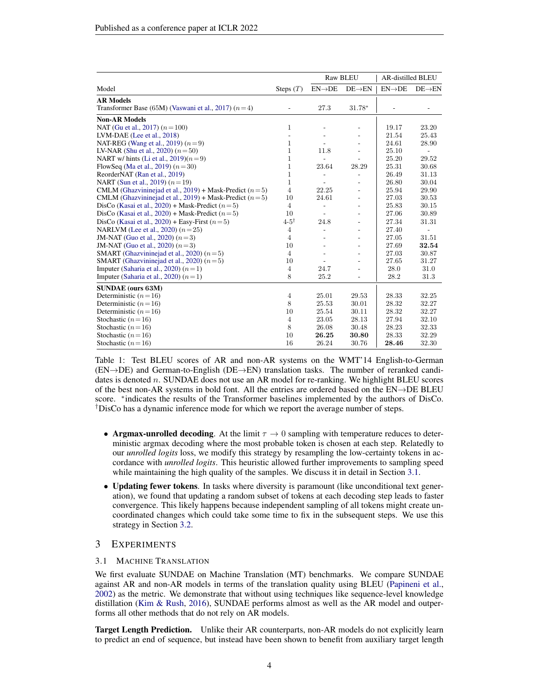<span id="page-3-1"></span>

|                                                          |                 | <b>AR-distilled BLEU</b><br><b>Raw BLEU</b> |                          |                    |                          |
|----------------------------------------------------------|-----------------|---------------------------------------------|--------------------------|--------------------|--------------------------|
| Model                                                    | Steps $(T)$     | $EN\rightarrow DE$                          | $DE \rightarrow EN$      | $EN\rightarrow DE$ | $DE \rightarrow EN$      |
| <b>AR Models</b>                                         |                 |                                             |                          |                    |                          |
| Transformer Base (65M) (Vaswani et al., 2017) $(n=4)$    |                 | 27.3                                        | 31.78*                   |                    |                          |
| <b>Non-AR Models</b>                                     |                 |                                             |                          |                    |                          |
| NAT (Gu et al., 2017) $(n=100)$                          | $\mathbf{1}$    |                                             |                          | 19.17              | 23.20                    |
| LVM-DAE (Lee et al., 2018)                               |                 |                                             |                          | 21.54              | 25.43                    |
| NAT-REG (Wang et al., 2019) $(n=9)$                      | $\mathbf{1}$    |                                             |                          | 24.61              | 28.90                    |
| LV-NAR (Shu et al., 2020) $(n=50)$                       | $\mathbf{1}$    | 11.8                                        | ÷,                       | 25.10              | $\overline{\phantom{a}}$ |
| NART w/ hints (Li et al., $2019(n=9)$ )                  | $\mathbf{1}$    |                                             |                          | 25.20              | 29.52                    |
| FlowSeq (Ma et al., 2019) $(n=30)$                       | $\mathbf{1}$    | 23.64                                       | 28.29                    | 25.31              | 30.68                    |
| ReorderNAT (Ran et al., 2019)                            | $\mathbf{1}$    |                                             |                          | 26.49              | 31.13                    |
| NART (Sun et al., 2019) $(n=19)$                         | $\mathbf{1}$    |                                             |                          | 26.80              | 30.04                    |
| CMLM (Ghazvininejad et al., 2019) + Mask-Predict $(n=5)$ | $\overline{4}$  | 22.25                                       |                          | 25.94              | 29.90                    |
| CMLM (Ghazvininejad et al., 2019) + Mask-Predict $(n=5)$ | 10              | 24.61                                       |                          | 27.03              | 30.53                    |
| DisCo (Kasai et al., 2020) + Mask-Predict $(n=5)$        | $\overline{4}$  |                                             |                          | 25.83              | 30.15                    |
| DisCo (Kasai et al., 2020) + Mask-Predict $(n=5)$        | 10              |                                             |                          | 27.06              | 30.89                    |
| DisCo (Kasai et al., 2020) + Easy-First $(n=5)$          | $4-5^{\dagger}$ | 24.8                                        |                          | 27.34              | 31.31                    |
| NARLVM (Lee et al., 2020) $(n=25)$                       | $\overline{4}$  |                                             |                          | 27.40              |                          |
| JM-NAT (Guo et al., 2020) $(n=3)$                        | $\overline{4}$  |                                             |                          | 27.05              | 31.51                    |
| JM-NAT (Guo et al., 2020) $(n=3)$                        | 10              | ٠                                           | ۰                        | 27.69              | 32.54                    |
| SMART (Ghazvininejad et al., 2020) $(n=5)$               | $\overline{4}$  |                                             | $\overline{\phantom{a}}$ | 27.03              | 30.87                    |
| SMART (Ghazvininejad et al., 2020) $(n=5)$               | 10              |                                             |                          | 27.65              | 31.27                    |
| Imputer (Saharia et al., 2020) $(n=1)$                   | $\overline{4}$  | 24.7                                        |                          | 28.0               | 31.0                     |
| Imputer (Saharia et al., 2020) $(n=1)$                   | 8               | 25.2                                        | ÷,                       | 28.2               | 31.3                     |
| <b>SUNDAE</b> (ours 63M)                                 |                 |                                             |                          |                    |                          |
| Deterministic $(n=16)$                                   | $\overline{4}$  | 25.01                                       | 29.53                    | 28.33              | 32.25                    |
| Deterministic $(n=16)$                                   | 8               | 25.53                                       | 30.01                    | 28.32              | 32.27                    |
| Deterministic $(n=16)$                                   | 10              | 25.54                                       | 30.11                    | 28.32              | 32.27                    |
| Stochastic $(n=16)$                                      | $\overline{4}$  | 23.05                                       | 28.13                    | 27.94              | 32.10                    |
| Stochastic $(n=16)$                                      | 8               | 26.08                                       | 30.48                    | 28.23              | 32.33                    |
| Stochastic $(n=16)$                                      | 10              | 26.25                                       | 30.80                    | 28.33              | 32.29                    |
| Stochastic $(n=16)$                                      | 16              | 26.24                                       | 30.76                    | 28.46              | 32.30                    |

Table 1: Test BLEU scores of AR and non-AR systems on the WMT'14 English-to-German (EN→DE) and German-to-English (DE→EN) translation tasks. The number of reranked candidates is denoted n. SUNDAE does not use an AR model for re-ranking. We highlight BLEU scores of the best non-AR systems in bold font. All the entries are ordered based on the EN→DE BLEU score. \*indicates the results of the Transformer baselines implemented by the authors of DisCo. †DisCo has a dynamic inference mode for which we report the average number of steps.

- Argmax-unrolled decoding. At the limit  $\tau \to 0$  sampling with temperature reduces to deterministic argmax decoding where the most probable token is chosen at each step. Relatedly to our *unrolled logits* loss, we modify this strategy by resampling the low-certainty tokens in accordance with *unrolled logits*. This heuristic allowed further improvements to sampling speed while maintaining the high quality of the samples. We discuss it in detail in Section [3.1.](#page-4-0)
- Updating fewer tokens. In tasks where diversity is paramount (like unconditional text generation), we found that updating a random subset of tokens at each decoding step leads to faster convergence. This likely happens because independent sampling of all tokens might create uncoordinated changes which could take some time to fix in the subsequent steps. We use this strategy in Section [3.2.](#page-5-1)

## 3 EXPERIMENTS

#### 3.1 MACHINE TRANSLATION

We first evaluate SUNDAE on Machine Translation (MT) benchmarks. We compare SUNDAE against AR and non-AR models in terms of the translation quality using BLEU [\(Papineni et al.,](#page-11-6) [2002\)](#page-11-6) as the metric. We demonstrate that without using techniques like sequence-level knowledge distillation [\(Kim & Rush,](#page-10-7) [2016\)](#page-10-7), SUNDAE performs almost as well as the AR model and outperforms all other methods that do not rely on AR models.

<span id="page-3-0"></span>Target Length Prediction. Unlike their AR counterparts, non-AR models do not explicitly learn to predict an end of sequence, but instead have been shown to benefit from auxiliary target length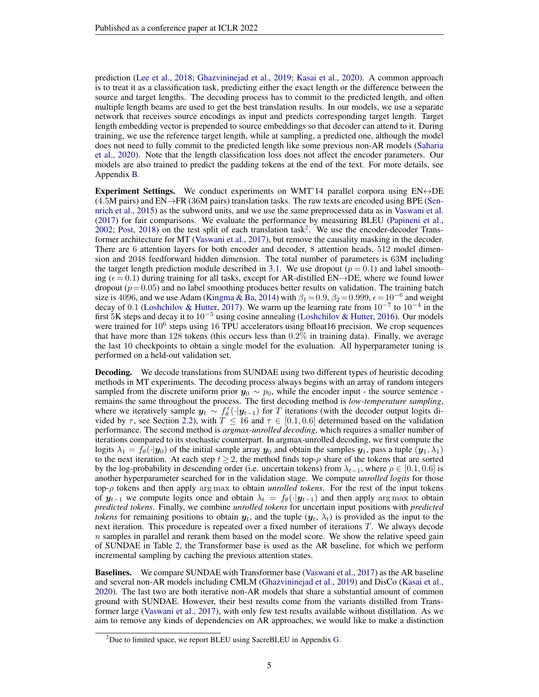prediction [\(Lee et al.,](#page-11-2) [2018;](#page-11-2) [Ghazvininejad et al.,](#page-10-0) [2019;](#page-10-0) [Kasai et al.,](#page-10-1) [2020\)](#page-10-1). A common approach is to treat it as a classification task, predicting either the exact length or the difference between the source and target lengths. The decoding process has to commit to the predicted length, and often multiple length beams are used to get the best translation results. In our models, we use a separate network that receives source encodings as input and predicts corresponding target length. Target length embedding vector is prepended to source embeddings so that decoder can attend to it. During training, we use the reference target length, while at sampling, a predicted one, although the model does not need to fully commit to the predicted length like some previous non-AR models [\(Saharia](#page-12-5) [et al.,](#page-12-5) [2020\)](#page-12-5). Note that the length classification loss does not affect the encoder parameters. Our models are also trained to predict the padding tokens at the end of the text. For more details, see Appendix [B.](#page-14-1)

<span id="page-4-2"></span>Experiment Settings. We conduct experiments on WMT'14 parallel corpora using  $EN \leftrightarrow DE$  $(4.5M$  pairs) and EN $\rightarrow$ FR (36M pairs) translation tasks. The raw texts are encoded using BPE [\(Sen](#page-12-6)[nrich et al.,](#page-12-6) [2015\)](#page-12-6) as the subword units, and we use the same preprocessed data as in [Vaswani et al.](#page-12-0) [\(2017\)](#page-12-0) for fair comparisons. We evaluate the performance by measuring BLEU [\(Papineni et al.,](#page-11-6) [2002;](#page-11-6) [Post,](#page-11-7) [2018\)](#page-11-7) on the test split of each translation task<sup>[2](#page-4-1)</sup>. We use the encoder-decoder Transformer architecture for MT [\(Vaswani et al.,](#page-12-0) [2017\)](#page-12-0), but remove the causality masking in the decoder. There are 6 attention layers for both encoder and decoder, 8 attention heads, 512 model dimension and 2048 feedforward hidden dimension. The total number of parameters is 63M including the target length prediction module described in [3.1.](#page-3-0) We use dropout  $(p = 0.1)$  and label smoothing ( $\epsilon = 0.1$ ) during training for all tasks, except for AR-distilled EN $\rightarrow$ DE, where we found lower dropout  $(p= 0.05)$  and no label smoothing produces better results on validation. The training batch size is 4096, and we use Adam [\(Kingma & Ba,](#page-11-8) [2014\)](#page-11-8) with  $\beta_1 = 0.9$ ,  $\beta_2 = 0.999$ ,  $\epsilon = 10^{-6}$  and weight decay of 0.1 [\(Loshchilov & Hutter,](#page-11-9) [2017\)](#page-11-9). We warm up the learning rate from  $10^{-7}$  to  $10^{-4}$  in the first 5K steps and decay it to  $10^{-5}$  using cosine annealing [\(Loshchilov & Hutter,](#page-11-10) [2016\)](#page-11-10). Our models were trained for 10<sup>6</sup> steps using 16 TPU accelerators using bfloat16 precision. We crop sequences that have more than 128 tokens (this occurs less than  $0.2\%$  in training data). Finally, we average the last 10 checkpoints to obtain a single model for the evaluation. All hyperparameter tuning is performed on a held-out validation set.

<span id="page-4-0"></span>Decoding. We decode translations from SUNDAE using two different types of heuristic decoding methods in MT experiments. The decoding process always begins with an array of random integers sampled from the discrete uniform prior  $y_0 \sim p_0$ , while the encoder input - the source sentence remains the same throughout the process. The first decoding method is *low-temperature sampling*, where we iteratively sample  $y_t \sim f_\theta^\tau(\cdot | y_{t-1})$  for T iterations (with the decoder output logits divided by  $\tau$ , see Section [2.2\)](#page-2-2), with  $T \le 16$  and  $\tau \in [0.1, 0.6]$  determined based on the validation performance. The second method is *argmax-unrolled decoding*, which requires a smaller number of iterations compared to its stochastic counterpart. In argmax-unrolled decoding, we first compute the logits  $\lambda_1 = f_\theta(\cdot|\mathbf{y}_0)$  of the initial sample array  $\mathbf{y}_0$  and obtain the samples  $\mathbf{y}_1$ , pass a tuple  $(\mathbf{y}_1, \lambda_1)$ to the next iteration. At each step  $t \geq 2$ , the method finds top- $\rho$  share of the tokens that are sorted by the log-probability in descending order (i.e. uncertain tokens) from  $\lambda_{t-1}$ , where  $\rho \in [0.1, 0.6]$  is another hyperparameter searched for in the validation stage. We compute *unrolled logits* for those top-ρ tokens and then apply arg max to obtain *unrolled tokens*. For the rest of the input tokens of  $y_{t-1}$  we compute logits once and obtain  $\lambda_t = f_{\theta}(\cdot | y_{t-1})$  and then apply arg max to obtain *predicted tokens*. Finally, we combine *unrolled tokens* for uncertain input positions with *predicted tokens* for remaining positions to obtain  $y_t$ , and the tuple  $(y_t, \lambda_t)$  is provided as the input to the next iteration. This procedure is repeated over a fixed number of iterations T. We always decode  $n$  samples in parallel and rerank them based on the model score. We show the relative speed gain of SUNDAE in Table [2,](#page-5-2) the Transformer base is used as the AR baseline, for which we perform incremental sampling by caching the previous attention states.

Baselines. We compare SUNDAE with Transformer base [\(Vaswani et al.,](#page-12-0) [2017\)](#page-12-0) as the AR baseline and several non-AR models including CMLM [\(Ghazvininejad et al.,](#page-10-0) [2019\)](#page-10-0) and DisCo [\(Kasai et al.,](#page-10-1) [2020\)](#page-10-1). The last two are both iterative non-AR models that share a substantial amount of common ground with SUNDAE. However, their best results come from the variants distilled from Transformer large [\(Vaswani et al.,](#page-12-0) [2017\)](#page-12-0), with only few test results available without distillation. As we aim to remove any kinds of dependencies on AR approaches, we would like to make a distinction

<span id="page-4-1"></span> $2$ Due to limited space, we report BLEU using SacreBLEU in Appendix [G.](#page-17-0)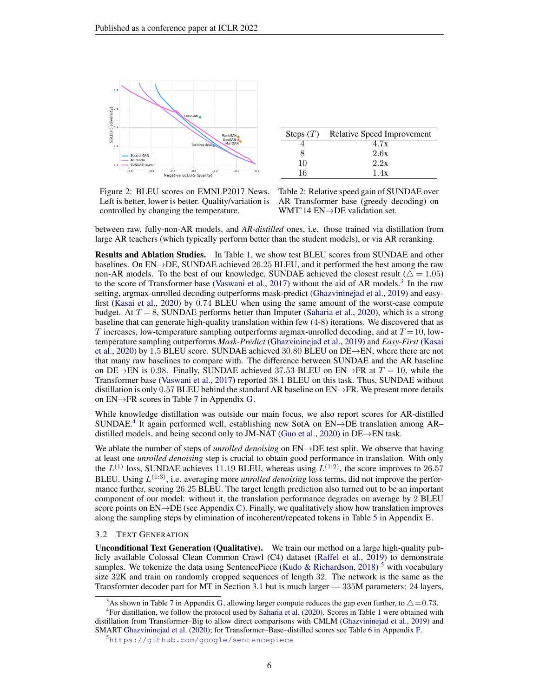<span id="page-5-2"></span>

| Steps $(T)$ | Relative Speed Improvement |
|-------------|----------------------------|
|             | 4.7x                       |
|             | 2.6x                       |
| 10          | 2.2x                       |
| 16          | 1.4x                       |

Figure 2: BLEU scores on EMNLP2017 News. Left is better, lower is better. Quality/variation is controlled by changing the temperature.

| Table 2: Relative speed gain of SUNDAE over |
|---------------------------------------------|
| AR Transformer base (greedy decoding) on    |
| WMT'14 $EN\rightarrow DE$ validation set.   |

between raw, fully-non-AR models, and *AR-distilled* ones, i.e. those trained via distillation from large AR teachers (which typically perform better than the student models), or via AR reranking.

<span id="page-5-0"></span>Results and Ablation Studies. In Table [1,](#page-3-1) we show test BLEU scores from SUNDAE and other baselines. On  $EN\rightarrow DE$ , SUNDAE achieved 26.25 BLEU, and it performed the best among the raw non-AR models. To the best of our knowledge, SUNDAE achieved the closest result ( $\triangle = 1.05$ ) to the score of Transformer base [\(Vaswani et al.,](#page-12-0) [2017\)](#page-12-0) without the aid of AR models.<sup>[3](#page-5-3)</sup> In the raw setting, argmax-unrolled decoding outperforms mask-predict [\(Ghazvininejad et al.,](#page-10-0) [2019\)](#page-10-0) and easyfirst [\(Kasai et al.,](#page-10-1) [2020\)](#page-10-1) by 0.74 BLEU when using the same amount of the worst-case compute budget. At  $T = 8$ , SUNDAE performs better than Imputer [\(Saharia et al.,](#page-12-5) [2020\)](#page-12-5), which is a strong baseline that can generate high-quality translation within few (4-8) iterations. We discovered that as T increases, low-temperature sampling outperforms argmax-unrolled decoding, and at  $T = 10$ , lowtemperature sampling outperforms *Mask-Predict* [\(Ghazvininejad et al.,](#page-10-0) [2019\)](#page-10-0) and *Easy-First* [\(Kasai](#page-10-1) [et al.,](#page-10-1) [2020\)](#page-10-1) by 1.5 BLEU score. SUNDAE achieved 30.80 BLEU on DE→EN, where there are not that many raw baselines to compare with. The difference between SUNDAE and the AR baseline on DE→EN is 0.98. Finally, SUNDAE achieved 37.53 BLEU on EN→FR at  $T = 10$ , while the Transformer base [\(Vaswani et al.,](#page-12-0) [2017\)](#page-12-0) reported 38.1 BLEU on this task. Thus, SUNDAE without distillation is only 0.57 BLEU behind the standard AR baseline on  $EN \rightarrow FR$ . We present more details on  $EN \rightarrow FR$  scores in Table [7](#page-17-1) in Appendix [G.](#page-17-0)

While knowledge distillation was outside our main focus, we also report scores for AR-distilled SUNDAE.[4](#page-5-4) It again performed well, establishing new SotA on EN→DE translation among AR– distilled models, and being second only to JM-NAT [\(Guo et al.,](#page-10-5) [2020\)](#page-10-5) in DE $\rightarrow$ EN task.

We ablate the number of steps of *unrolled denoising* on EN→DE test split. We observe that having at least one *unrolled denoising* step is crucial to obtain good performance in translation. With only the  $L^{(1)}$  loss, SUNDAE achieves 11.19 BLEU, whereas using  $L^{(1:2)}$ , the score improves to 26.57 BLEU. Using  $L^{(1:3)}$ , i.e. averaging more *unrolled denoising* loss terms, did not improve the performance further, scoring 26.25 BLEU. The target length prediction also turned out to be an important component of our model: without it, the translation performance degrades on average by 2 BLEU score points on  $EN\rightarrow DE$  (see Appendix [C\)](#page-14-0). Finally, we qualitatively show how translation improves along the sampling steps by elimination of incoherent/repeated tokens in Table [5](#page-15-1) in Appendix [E.](#page-16-0)

#### <span id="page-5-1"></span>3.2 TEXT GENERATION

Unconditional Text Generation (Qualitative). We train our method on a large high-quality publicly available Colossal Clean Common Crawl (C4) dataset [\(Raffel et al.,](#page-11-1) [2019\)](#page-11-1) to demonstrate samples. We tokenize the data using SentencePiece [\(Kudo & Richardson,](#page-11-11) [2018\)](#page-11-11)<sup>[5](#page-5-5)</sup> with vocabulary size 32K and train on randomly cropped sequences of length 32. The network is the same as the Transformer decoder part for MT in Section [3.1](#page-4-2) but is much larger — 335M parameters: 24 layers,

<span id="page-5-4"></span><span id="page-5-3"></span><sup>&</sup>lt;sup>3</sup>As shown in Table [7](#page-17-1) in Appendix [G,](#page-17-0) allowing larger compute reduces the gap even further, to  $\triangle = 0.73$ .

<sup>4</sup> For distillation, we follow the protocol used by [Saharia et al.](#page-12-5) [\(2020\)](#page-12-5). Scores in Table [1](#page-3-1) were obtained with distillation from Transformer–Big to allow direct comparisons with CMLM [\(Ghazvininejad et al.,](#page-10-0) [2019\)](#page-10-0) and SMART [Ghazvininejad et al.](#page-10-6) [\(2020\)](#page-10-6); for Transformer–Base–distilled scores see Table [6](#page-16-1) in Appendix [F.](#page-16-2)

<span id="page-5-5"></span><sup>5</sup><https://github.com/google/sentencepiece>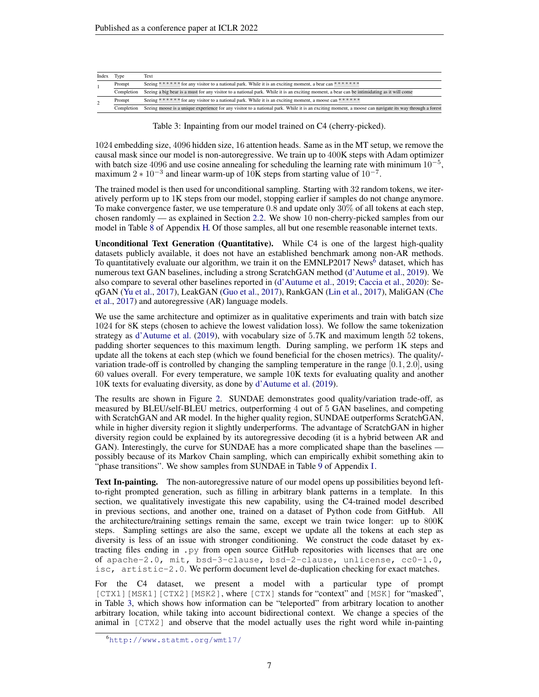<span id="page-6-1"></span>

| Seeing ****** for any visitor to a national park. While it is an exciting moment, a bear can *******                                                  |
|-------------------------------------------------------------------------------------------------------------------------------------------------------|
|                                                                                                                                                       |
| Seeing a big bear is a must for any visitor to a national park. While it is an exciting moment, a bear can be intimidating as it will come            |
| Seeing * * * * * for any visitor to a national park. While it is an exciting moment, a moose can * * * * *                                            |
| Seeing moose is a unique experience for any visitor to a national park. While it is an exciting moment, a moose can navigate its way through a forest |
|                                                                                                                                                       |

Table 3: Inpainting from our model trained on C4 (cherry-picked).

1024 embedding size, 4096 hidden size, 16 attention heads. Same as in the MT setup, we remove the causal mask since our model is non-autoregressive. We train up to 400K steps with Adam optimizer with batch size 4096 and use cosine annealing for scheduling the learning rate with minimum  $10^{-5}$ , maximum  $2 \times 10^{-3}$  and linear warm-up of 10K steps from starting value of  $10^{-7}$ .

The trained model is then used for unconditional sampling. Starting with 32 random tokens, we iteratively perform up to 1K steps from our model, stopping earlier if samples do not change anymore. To make convergence faster, we use temperature  $0.\overline{8}$  and update only  $30\%$  of all tokens at each step, chosen randomly — as explained in Section [2.2.](#page-2-2) We show 10 non-cherry-picked samples from our model in Table [8](#page-17-2) of Appendix [H.](#page-17-3) Of those samples, all but one resemble reasonable internet texts.

Unconditional Text Generation (Quantitative). While C4 is one of the largest high-quality datasets publicly available, it does not have an established benchmark among non-AR methods. To quantitatively evaluate our algorithm, we train it on the EMNLP2017 News<sup>[6](#page-6-0)</sup> dataset, which has numerous text GAN baselines, including a strong ScratchGAN method [\(d'Autume et al.,](#page-10-8) [2019\)](#page-10-8). We also compare to several other baselines reported in [\(d'Autume et al.,](#page-10-8) [2019;](#page-10-8) [Caccia et al.,](#page-9-3) [2020\)](#page-9-3): SeqGAN [\(Yu et al.,](#page-12-7) [2017\)](#page-12-7), LeakGAN [\(Guo et al.,](#page-10-9) [2017\)](#page-10-9), RankGAN [\(Lin et al.,](#page-11-12) [2017\)](#page-11-12), MaliGAN [\(Che](#page-9-4) [et al.,](#page-9-4) [2017\)](#page-9-4) and autoregressive (AR) language models.

We use the same architecture and optimizer as in qualitative experiments and train with batch size 1024 for 8K steps (chosen to achieve the lowest validation loss). We follow the same tokenization strategy as [d'Autume et al.](#page-10-8) [\(2019\)](#page-10-8), with vocabulary size of 5.7K and maximum length 52 tokens, padding shorter sequences to this maximum length. During sampling, we perform 1K steps and update all the tokens at each step (which we found beneficial for the chosen metrics). The quality/ variation trade-off is controlled by changing the sampling temperature in the range  $[0.1, 2.0]$ , using 60 values overall. For every temperature, we sample 10K texts for evaluating quality and another 10K texts for evaluating diversity, as done by [d'Autume et al.](#page-10-8) [\(2019\)](#page-10-8).

The results are shown in Figure [2.](#page-5-2) SUNDAE demonstrates good quality/variation trade-off, as measured by BLEU/self-BLEU metrics, outperforming 4 out of 5 GAN baselines, and competing with ScratchGAN and AR model. In the higher quality region, SUNDAE outperforms ScratchGAN, while in higher diversity region it slightly underperforms. The advantage of ScratchGAN in higher diversity region could be explained by its autoregressive decoding (it is a hybrid between AR and GAN). Interestingly, the curve for SUNDAE has a more complicated shape than the baselines possibly because of its Markov Chain sampling, which can empirically exhibit something akin to "phase transitions". We show samples from SUNDAE in Table [9](#page-18-0) of Appendix [I.](#page-18-1)

Text In-painting. The non-autoregressive nature of our model opens up possibilities beyond leftto-right prompted generation, such as filling in arbitrary blank patterns in a template. In this section, we qualitatively investigate this new capability, using the C4-trained model described in previous sections, and another one, trained on a dataset of Python code from GitHub. All the architecture/training settings remain the same, except we train twice longer: up to 800K steps. Sampling settings are also the same, except we update all the tokens at each step as diversity is less of an issue with stronger conditioning. We construct the code dataset by extracting files ending in .py from open source GitHub repositories with licenses that are one of apache-2.0, mit, bsd-3-clause, bsd-2-clause, unlicense, cc0-1.0, isc, artistic-2.0. We perform document level de-duplication checking for exact matches.

For the C4 dataset, we present a model with a particular type of prompt [CTX1][MSK1][CTX2][MSK2], where [CTX] stands for "context" and [MSK] for "masked", in Table [3,](#page-6-1) which shows how information can be "teleported" from arbitrary location to another arbitrary location, while taking into account bidirectional context. We change a species of the animal in [CTX2] and observe that the model actually uses the right word while in-painting

<span id="page-6-0"></span><sup>6</sup><http://www.statmt.org/wmt17/>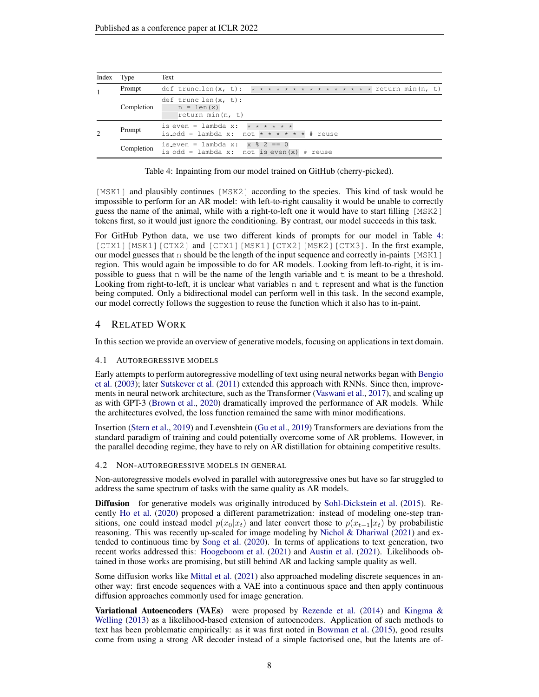<span id="page-7-0"></span>

| Index Type                                                                                                        |            | Text                                                                                    |
|-------------------------------------------------------------------------------------------------------------------|------------|-----------------------------------------------------------------------------------------|
|                                                                                                                   | Prompt     | def trunc_len(x, t): * * * * * * * * * * * * * * * * return min(n, t)                   |
|                                                                                                                   | Completion | $def$ trunc_len(x, t):<br>$n = len(x)$<br>return min(n, $t$ )                           |
| is_even = lambda x: $\star \star \star \star \star \star$<br>Prompt<br>is_odd = lambda x: not * * * * * * # reuse |            |                                                                                         |
|                                                                                                                   | Completion | is_even = lambda x: x $\frac{1}{6}$ 2 == 0<br>is_odd = lambda x: not is_even(x) # reuse |

Table 4: Inpainting from our model trained on GitHub (cherry-picked).

[MSK1] and plausibly continues [MSK2] according to the species. This kind of task would be impossible to perform for an AR model: with left-to-right causality it would be unable to correctly guess the name of the animal, while with a right-to-left one it would have to start filling [MSK2] tokens first, so it would just ignore the conditioning. By contrast, our model succeeds in this task.

For GitHub Python data, we use two different kinds of prompts for our model in Table [4:](#page-7-0) [CTX1][MSK1][CTX2] and [CTX1][MSK1][CTX2][MSK2][CTX3]. In the first example, our model guesses that n should be the length of the input sequence and correctly in-paints [MSK1] region. This would again be impossible to do for AR models. Looking from left-to-right, it is impossible to guess that n will be the name of the length variable and  $t$  is meant to be a threshold. Looking from right-to-left, it is unclear what variables  $n$  and  $t$  represent and what is the function being computed. Only a bidirectional model can perform well in this task. In the second example, our model correctly follows the suggestion to reuse the function which it also has to in-paint.

## 4 RELATED WORK

In this section we provide an overview of generative models, focusing on applications in text domain.

#### 4.1 AUTOREGRESSIVE MODELS

Early attempts to perform autoregressive modelling of text using neural networks began with [Bengio](#page-9-5) [et al.](#page-9-5) [\(2003\)](#page-9-5); later [Sutskever et al.](#page-12-8) [\(2011\)](#page-12-8) extended this approach with RNNs. Since then, improvements in neural network architecture, such as the Transformer [\(Vaswani et al.,](#page-12-0) [2017\)](#page-12-0), and scaling up as with GPT-3 [\(Brown et al.,](#page-9-0) [2020\)](#page-9-0) dramatically improved the performance of AR models. While the architectures evolved, the loss function remained the same with minor modifications.

Insertion [\(Stern et al.,](#page-12-9) [2019\)](#page-12-9) and Levenshtein [\(Gu et al.,](#page-10-10) [2019\)](#page-10-10) Transformers are deviations from the standard paradigm of training and could potentially overcome some of AR problems. However, in the parallel decoding regime, they have to rely on AR distillation for obtaining competitive results.

4.2 NON-AUTOREGRESSIVE MODELS IN GENERAL

Non-autoregressive models evolved in parallel with autoregressive ones but have so far struggled to address the same spectrum of tasks with the same quality as AR models.

Diffusion for generative models was originally introduced by [Sohl-Dickstein et al.](#page-12-10) [\(2015\)](#page-12-10). Recently [Ho et al.](#page-10-11) [\(2020\)](#page-10-11) proposed a different parametrization: instead of modeling one-step transitions, one could instead model  $p(x_0|x_t)$  and later convert those to  $p(x_{t-1}|x_t)$  by probabilistic reasoning. This was recently up-scaled for image modeling by [Nichol & Dhariwal](#page-11-13) [\(2021\)](#page-11-13) and extended to continuous time by [Song et al.](#page-12-11) [\(2020\)](#page-12-11). In terms of applications to text generation, two recent works addressed this: [Hoogeboom et al.](#page-10-3) [\(2021\)](#page-10-3) and [Austin et al.](#page-9-1) [\(2021\)](#page-9-1). Likelihoods obtained in those works are promising, but still behind AR and lacking sample quality as well.

Some diffusion works like [Mittal et al.](#page-11-14) [\(2021\)](#page-11-14) also approached modeling discrete sequences in another way: first encode sequences with a VAE into a continuous space and then apply continuous diffusion approaches commonly used for image generation.

Variational Autoencoders (VAEs) were proposed by [Rezende et al.](#page-12-12) [\(2014\)](#page-12-12) and Kingma  $\&$ [Welling](#page-11-15) [\(2013\)](#page-11-15) as a likelihood-based extension of autoencoders. Application of such methods to text has been problematic empirically: as it was first noted in [Bowman et al.](#page-9-6) [\(2015\)](#page-9-6), good results come from using a strong AR decoder instead of a simple factorised one, but the latents are of-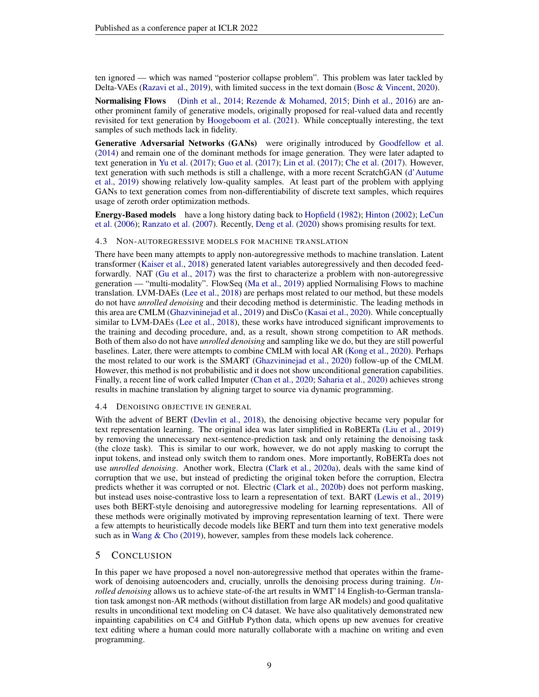ten ignored — which was named "posterior collapse problem". This problem was later tackled by Delta-VAEs [\(Razavi et al.,](#page-12-13) [2019\)](#page-12-13), with limited success in the text domain [\(Bosc & Vincent,](#page-9-7) [2020\)](#page-9-7).

Normalising Flows [\(Dinh et al.,](#page-10-12) [2014;](#page-10-12) [Rezende & Mohamed,](#page-12-14) [2015;](#page-12-14) [Dinh et al.,](#page-10-13) [2016\)](#page-10-13) are another prominent family of generative models, originally proposed for real-valued data and recently revisited for text generation by [Hoogeboom et al.](#page-10-3) [\(2021\)](#page-10-3). While conceptually interesting, the text samples of such methods lack in fidelity.

Generative Adversarial Networks (GANs) were originally introduced by [Goodfellow et al.](#page-10-14) [\(2014\)](#page-10-14) and remain one of the dominant methods for image generation. They were later adapted to text generation in [Yu et al.](#page-12-7) [\(2017\)](#page-12-7); [Guo et al.](#page-10-9) [\(2017\)](#page-10-9); [Lin et al.](#page-11-12) [\(2017\)](#page-11-12); [Che et al.](#page-9-4) [\(2017\)](#page-9-4). However, text generation with such methods is still a challenge, with a more recent ScratchGAN [\(d'Autume](#page-10-8) [et al.,](#page-10-8) [2019\)](#page-10-8) showing relatively low-quality samples. At least part of the problem with applying GANs to text generation comes from non-differentiability of discrete text samples, which requires usage of zeroth order optimization methods.

Energy-Based models have a long history dating back to [Hopfield](#page-10-15) [\(1982\)](#page-10-15); [Hinton](#page-10-16) [\(2002\)](#page-10-16); [LeCun](#page-11-16) [et al.](#page-11-16) [\(2006\)](#page-11-16); [Ranzato et al.](#page-12-15) [\(2007\)](#page-12-15). Recently, [Deng et al.](#page-10-17) [\(2020\)](#page-10-17) shows promising results for text.

#### 4.3 NON-AUTOREGRESSIVE MODELS FOR MACHINE TRANSLATION

There have been many attempts to apply non-autoregressive methods to machine translation. Latent transformer [\(Kaiser et al.,](#page-10-18) [2018\)](#page-10-18) generated latent variables autoregressively and then decoded feedforwardly. NAT [\(Gu et al.,](#page-10-2) [2017\)](#page-10-2) was the first to characterize a problem with non-autoregressive generation — "multi-modality". FlowSeq [\(Ma et al.,](#page-11-4) [2019\)](#page-11-4) applied Normalising Flows to machine translation. LVM-DAEs [\(Lee et al.,](#page-11-2) [2018\)](#page-11-2) are perhaps most related to our method, but these models do not have *unrolled denoising* and their decoding method is deterministic. The leading methods in this area are CMLM [\(Ghazvininejad et al.,](#page-10-0) [2019\)](#page-10-0) and DisCo [\(Kasai et al.,](#page-10-1) [2020\)](#page-10-1). While conceptually similar to LVM-DAEs [\(Lee et al.,](#page-11-2) [2018\)](#page-11-2), these works have introduced significant improvements to the training and decoding procedure, and, as a result, shown strong competition to AR methods. Both of them also do not have *unrolled denoising* and sampling like we do, but they are still powerful baselines. Later, there were attempts to combine CMLM with local AR [\(Kong et al.,](#page-11-17) [2020\)](#page-11-17). Perhaps the most related to our work is the SMART [\(Ghazvininejad et al.,](#page-10-6) [2020\)](#page-10-6) follow-up of the CMLM. However, this method is not probabilistic and it does not show unconditional generation capabilities. Finally, a recent line of work called Imputer [\(Chan et al.,](#page-9-8) [2020;](#page-9-8) [Saharia et al.,](#page-12-5) [2020\)](#page-12-5) achieves strong results in machine translation by aligning target to source via dynamic programming.

#### 4.4 DENOISING OBJECTIVE IN GENERAL

With the advent of BERT [\(Devlin et al.,](#page-10-4) [2018\)](#page-10-4), the denoising objective became very popular for text representation learning. The original idea was later simplified in RoBERTa [\(Liu et al.,](#page-11-18) [2019\)](#page-11-18) by removing the unnecessary next-sentence-prediction task and only retaining the denoising task (the cloze task). This is similar to our work, however, we do not apply masking to corrupt the input tokens, and instead only switch them to random ones. More importantly, RoBERTa does not use *unrolled denoising*. Another work, Electra [\(Clark et al.,](#page-9-9) [2020a\)](#page-9-9), deals with the same kind of corruption that we use, but instead of predicting the original token before the corruption, Electra predicts whether it was corrupted or not. Electric [\(Clark et al.,](#page-10-19) [2020b\)](#page-10-19) does not perform masking, but instead uses noise-contrastive loss to learn a representation of text. BART [\(Lewis et al.,](#page-11-19) [2019\)](#page-11-19) uses both BERT-style denoising and autoregressive modeling for learning representations. All of these methods were originally motivated by improving representation learning of text. There were a few attempts to heuristically decode models like BERT and turn them into text generative models such as in Wang  $&$  Cho [\(2019\)](#page-12-16), however, samples from these models lack coherence.

#### 5 CONCLUSION

In this paper we have proposed a novel non-autoregressive method that operates within the framework of denoising autoencoders and, crucially, unrolls the denoising process during training. *Unrolled denoising* allows us to achieve state-of-the art results in WMT'14 English-to-German translation task amongst non-AR methods (without distillation from large AR models) and good qualitative results in unconditional text modeling on C4 dataset. We have also qualitatively demonstrated new inpainting capabilities on C4 and GitHub Python data, which opens up new avenues for creative text editing where a human could more naturally collaborate with a machine on writing and even programming.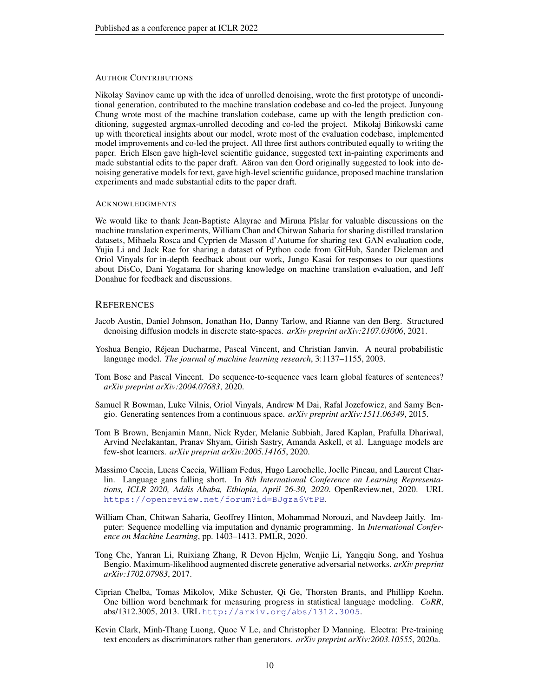#### AUTHOR CONTRIBUTIONS

Nikolay Savinov came up with the idea of unrolled denoising, wrote the first prototype of unconditional generation, contributed to the machine translation codebase and co-led the project. Junyoung Chung wrote most of the machine translation codebase, came up with the length prediction conditioning, suggested argmax-unrolled decoding and co-led the project. Mikołaj Binkowski came ´ up with theoretical insights about our model, wrote most of the evaluation codebase, implemented model improvements and co-led the project. All three first authors contributed equally to writing the paper. Erich Elsen gave high-level scientific guidance, suggested text in-painting experiments and made substantial edits to the paper draft. Aaron van den Oord originally suggested to look into denoising generative models for text, gave high-level scientific guidance, proposed machine translation experiments and made substantial edits to the paper draft.

#### ACKNOWLEDGMENTS

We would like to thank Jean-Baptiste Alayrac and Miruna Pîslar for valuable discussions on the machine translation experiments, William Chan and Chitwan Saharia for sharing distilled translation datasets, Mihaela Rosca and Cyprien de Masson d'Autume for sharing text GAN evaluation code, Yujia Li and Jack Rae for sharing a dataset of Python code from GitHub, Sander Dieleman and Oriol Vinyals for in-depth feedback about our work, Jungo Kasai for responses to our questions about DisCo, Dani Yogatama for sharing knowledge on machine translation evaluation, and Jeff Donahue for feedback and discussions.

#### **REFERENCES**

- <span id="page-9-1"></span>Jacob Austin, Daniel Johnson, Jonathan Ho, Danny Tarlow, and Rianne van den Berg. Structured denoising diffusion models in discrete state-spaces. *arXiv preprint arXiv:2107.03006*, 2021.
- <span id="page-9-5"></span>Yoshua Bengio, Réjean Ducharme, Pascal Vincent, and Christian Janvin. A neural probabilistic language model. *The journal of machine learning research*, 3:1137–1155, 2003.
- <span id="page-9-7"></span>Tom Bosc and Pascal Vincent. Do sequence-to-sequence vaes learn global features of sentences? *arXiv preprint arXiv:2004.07683*, 2020.
- <span id="page-9-6"></span>Samuel R Bowman, Luke Vilnis, Oriol Vinyals, Andrew M Dai, Rafal Jozefowicz, and Samy Bengio. Generating sentences from a continuous space. *arXiv preprint arXiv:1511.06349*, 2015.
- <span id="page-9-0"></span>Tom B Brown, Benjamin Mann, Nick Ryder, Melanie Subbiah, Jared Kaplan, Prafulla Dhariwal, Arvind Neelakantan, Pranav Shyam, Girish Sastry, Amanda Askell, et al. Language models are few-shot learners. *arXiv preprint arXiv:2005.14165*, 2020.
- <span id="page-9-3"></span>Massimo Caccia, Lucas Caccia, William Fedus, Hugo Larochelle, Joelle Pineau, and Laurent Charlin. Language gans falling short. In *8th International Conference on Learning Representations, ICLR 2020, Addis Ababa, Ethiopia, April 26-30, 2020*. OpenReview.net, 2020. URL <https://openreview.net/forum?id=BJgza6VtPB>.
- <span id="page-9-8"></span>William Chan, Chitwan Saharia, Geoffrey Hinton, Mohammad Norouzi, and Navdeep Jaitly. Imputer: Sequence modelling via imputation and dynamic programming. In *International Conference on Machine Learning*, pp. 1403–1413. PMLR, 2020.
- <span id="page-9-4"></span>Tong Che, Yanran Li, Ruixiang Zhang, R Devon Hjelm, Wenjie Li, Yangqiu Song, and Yoshua Bengio. Maximum-likelihood augmented discrete generative adversarial networks. *arXiv preprint arXiv:1702.07983*, 2017.
- <span id="page-9-2"></span>Ciprian Chelba, Tomas Mikolov, Mike Schuster, Qi Ge, Thorsten Brants, and Phillipp Koehn. One billion word benchmark for measuring progress in statistical language modeling. *CoRR*, abs/1312.3005, 2013. URL <http://arxiv.org/abs/1312.3005>.
- <span id="page-9-9"></span>Kevin Clark, Minh-Thang Luong, Quoc V Le, and Christopher D Manning. Electra: Pre-training text encoders as discriminators rather than generators. *arXiv preprint arXiv:2003.10555*, 2020a.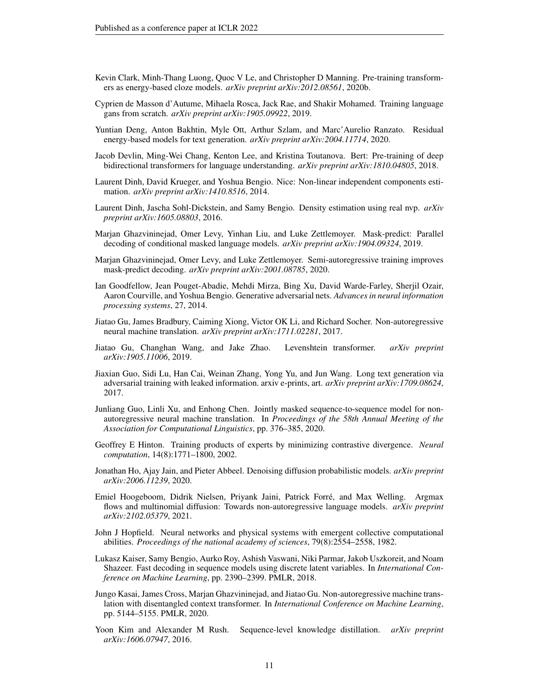- <span id="page-10-19"></span>Kevin Clark, Minh-Thang Luong, Quoc V Le, and Christopher D Manning. Pre-training transformers as energy-based cloze models. *arXiv preprint arXiv:2012.08561*, 2020b.
- <span id="page-10-8"></span>Cyprien de Masson d'Autume, Mihaela Rosca, Jack Rae, and Shakir Mohamed. Training language gans from scratch. *arXiv preprint arXiv:1905.09922*, 2019.
- <span id="page-10-17"></span>Yuntian Deng, Anton Bakhtin, Myle Ott, Arthur Szlam, and Marc'Aurelio Ranzato. Residual energy-based models for text generation. *arXiv preprint arXiv:2004.11714*, 2020.
- <span id="page-10-4"></span>Jacob Devlin, Ming-Wei Chang, Kenton Lee, and Kristina Toutanova. Bert: Pre-training of deep bidirectional transformers for language understanding. *arXiv preprint arXiv:1810.04805*, 2018.
- <span id="page-10-12"></span>Laurent Dinh, David Krueger, and Yoshua Bengio. Nice: Non-linear independent components estimation. *arXiv preprint arXiv:1410.8516*, 2014.
- <span id="page-10-13"></span>Laurent Dinh, Jascha Sohl-Dickstein, and Samy Bengio. Density estimation using real nvp. *arXiv preprint arXiv:1605.08803*, 2016.
- <span id="page-10-0"></span>Marjan Ghazvininejad, Omer Levy, Yinhan Liu, and Luke Zettlemoyer. Mask-predict: Parallel decoding of conditional masked language models. *arXiv preprint arXiv:1904.09324*, 2019.
- <span id="page-10-6"></span>Marjan Ghazvininejad, Omer Levy, and Luke Zettlemoyer. Semi-autoregressive training improves mask-predict decoding. *arXiv preprint arXiv:2001.08785*, 2020.
- <span id="page-10-14"></span>Ian Goodfellow, Jean Pouget-Abadie, Mehdi Mirza, Bing Xu, David Warde-Farley, Sherjil Ozair, Aaron Courville, and Yoshua Bengio. Generative adversarial nets. *Advances in neural information processing systems*, 27, 2014.
- <span id="page-10-2"></span>Jiatao Gu, James Bradbury, Caiming Xiong, Victor OK Li, and Richard Socher. Non-autoregressive neural machine translation. *arXiv preprint arXiv:1711.02281*, 2017.
- <span id="page-10-10"></span>Jiatao Gu, Changhan Wang, and Jake Zhao. Levenshtein transformer. *arXiv preprint arXiv:1905.11006*, 2019.
- <span id="page-10-9"></span>Jiaxian Guo, Sidi Lu, Han Cai, Weinan Zhang, Yong Yu, and Jun Wang. Long text generation via adversarial training with leaked information. arxiv e-prints, art. *arXiv preprint arXiv:1709.08624*, 2017.
- <span id="page-10-5"></span>Junliang Guo, Linli Xu, and Enhong Chen. Jointly masked sequence-to-sequence model for nonautoregressive neural machine translation. In *Proceedings of the 58th Annual Meeting of the Association for Computational Linguistics*, pp. 376–385, 2020.
- <span id="page-10-16"></span>Geoffrey E Hinton. Training products of experts by minimizing contrastive divergence. *Neural computation*, 14(8):1771–1800, 2002.
- <span id="page-10-11"></span>Jonathan Ho, Ajay Jain, and Pieter Abbeel. Denoising diffusion probabilistic models. *arXiv preprint arXiv:2006.11239*, 2020.
- <span id="page-10-3"></span>Emiel Hoogeboom, Didrik Nielsen, Priyank Jaini, Patrick Forre, and Max Welling. Argmax ´ flows and multinomial diffusion: Towards non-autoregressive language models. *arXiv preprint arXiv:2102.05379*, 2021.
- <span id="page-10-15"></span>John J Hopfield. Neural networks and physical systems with emergent collective computational abilities. *Proceedings of the national academy of sciences*, 79(8):2554–2558, 1982.
- <span id="page-10-18"></span>Lukasz Kaiser, Samy Bengio, Aurko Roy, Ashish Vaswani, Niki Parmar, Jakob Uszkoreit, and Noam Shazeer. Fast decoding in sequence models using discrete latent variables. In *International Conference on Machine Learning*, pp. 2390–2399. PMLR, 2018.
- <span id="page-10-1"></span>Jungo Kasai, James Cross, Marjan Ghazvininejad, and Jiatao Gu. Non-autoregressive machine translation with disentangled context transformer. In *International Conference on Machine Learning*, pp. 5144–5155. PMLR, 2020.
- <span id="page-10-7"></span>Yoon Kim and Alexander M Rush. Sequence-level knowledge distillation. *arXiv preprint arXiv:1606.07947*, 2016.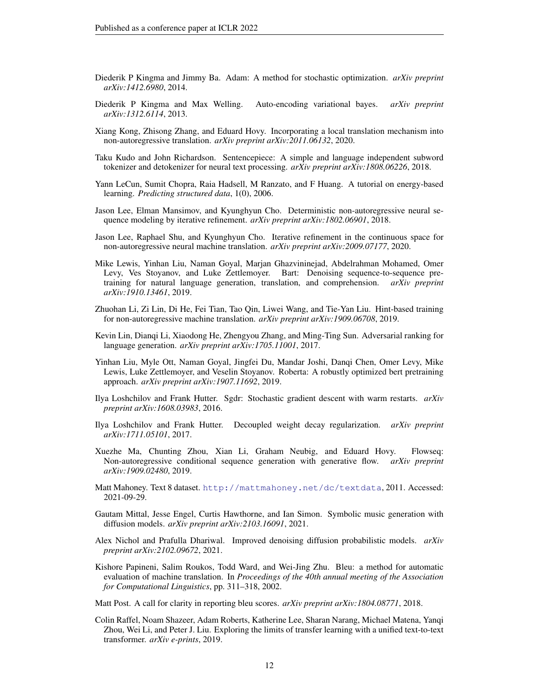- <span id="page-11-8"></span>Diederik P Kingma and Jimmy Ba. Adam: A method for stochastic optimization. *arXiv preprint arXiv:1412.6980*, 2014.
- <span id="page-11-15"></span>Diederik P Kingma and Max Welling. Auto-encoding variational bayes. *arXiv preprint arXiv:1312.6114*, 2013.
- <span id="page-11-17"></span>Xiang Kong, Zhisong Zhang, and Eduard Hovy. Incorporating a local translation mechanism into non-autoregressive translation. *arXiv preprint arXiv:2011.06132*, 2020.
- <span id="page-11-11"></span>Taku Kudo and John Richardson. Sentencepiece: A simple and language independent subword tokenizer and detokenizer for neural text processing. *arXiv preprint arXiv:1808.06226*, 2018.
- <span id="page-11-16"></span>Yann LeCun, Sumit Chopra, Raia Hadsell, M Ranzato, and F Huang. A tutorial on energy-based learning. *Predicting structured data*, 1(0), 2006.
- <span id="page-11-2"></span>Jason Lee, Elman Mansimov, and Kyunghyun Cho. Deterministic non-autoregressive neural sequence modeling by iterative refinement. *arXiv preprint arXiv:1802.06901*, 2018.
- <span id="page-11-5"></span>Jason Lee, Raphael Shu, and Kyunghyun Cho. Iterative refinement in the continuous space for non-autoregressive neural machine translation. *arXiv preprint arXiv:2009.07177*, 2020.
- <span id="page-11-19"></span>Mike Lewis, Yinhan Liu, Naman Goyal, Marjan Ghazvininejad, Abdelrahman Mohamed, Omer Levy, Ves Stoyanov, and Luke Zettlemoyer. Bart: Denoising sequence-to-sequence pretraining for natural language generation, translation, and comprehension. *arXiv preprint arXiv:1910.13461*, 2019.
- <span id="page-11-3"></span>Zhuohan Li, Zi Lin, Di He, Fei Tian, Tao Qin, Liwei Wang, and Tie-Yan Liu. Hint-based training for non-autoregressive machine translation. *arXiv preprint arXiv:1909.06708*, 2019.
- <span id="page-11-12"></span>Kevin Lin, Dianqi Li, Xiaodong He, Zhengyou Zhang, and Ming-Ting Sun. Adversarial ranking for language generation. *arXiv preprint arXiv:1705.11001*, 2017.
- <span id="page-11-18"></span>Yinhan Liu, Myle Ott, Naman Goyal, Jingfei Du, Mandar Joshi, Danqi Chen, Omer Levy, Mike Lewis, Luke Zettlemoyer, and Veselin Stoyanov. Roberta: A robustly optimized bert pretraining approach. *arXiv preprint arXiv:1907.11692*, 2019.
- <span id="page-11-10"></span>Ilya Loshchilov and Frank Hutter. Sgdr: Stochastic gradient descent with warm restarts. *arXiv preprint arXiv:1608.03983*, 2016.
- <span id="page-11-9"></span>Ilya Loshchilov and Frank Hutter. Decoupled weight decay regularization. *arXiv preprint arXiv:1711.05101*, 2017.
- <span id="page-11-4"></span>Xuezhe Ma, Chunting Zhou, Xian Li, Graham Neubig, and Eduard Hovy. Flowseq: Non-autoregressive conditional sequence generation with generative flow. *arXiv preprint arXiv:1909.02480*, 2019.
- <span id="page-11-0"></span>Matt Mahoney. Text 8 dataset. <http://mattmahoney.net/dc/textdata>, 2011. Accessed: 2021-09-29.
- <span id="page-11-14"></span>Gautam Mittal, Jesse Engel, Curtis Hawthorne, and Ian Simon. Symbolic music generation with diffusion models. *arXiv preprint arXiv:2103.16091*, 2021.
- <span id="page-11-13"></span>Alex Nichol and Prafulla Dhariwal. Improved denoising diffusion probabilistic models. *arXiv preprint arXiv:2102.09672*, 2021.
- <span id="page-11-6"></span>Kishore Papineni, Salim Roukos, Todd Ward, and Wei-Jing Zhu. Bleu: a method for automatic evaluation of machine translation. In *Proceedings of the 40th annual meeting of the Association for Computational Linguistics*, pp. 311–318, 2002.
- <span id="page-11-7"></span>Matt Post. A call for clarity in reporting bleu scores. *arXiv preprint arXiv:1804.08771*, 2018.
- <span id="page-11-1"></span>Colin Raffel, Noam Shazeer, Adam Roberts, Katherine Lee, Sharan Narang, Michael Matena, Yanqi Zhou, Wei Li, and Peter J. Liu. Exploring the limits of transfer learning with a unified text-to-text transformer. *arXiv e-prints*, 2019.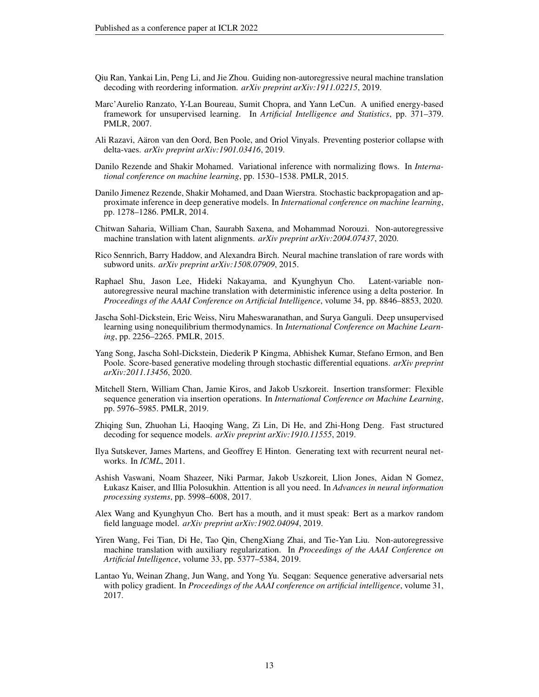- <span id="page-12-3"></span>Qiu Ran, Yankai Lin, Peng Li, and Jie Zhou. Guiding non-autoregressive neural machine translation decoding with reordering information. *arXiv preprint arXiv:1911.02215*, 2019.
- <span id="page-12-15"></span>Marc'Aurelio Ranzato, Y-Lan Boureau, Sumit Chopra, and Yann LeCun. A unified energy-based framework for unsupervised learning. In *Artificial Intelligence and Statistics*, pp. 371–379. PMLR, 2007.
- <span id="page-12-13"></span>Ali Razavi, Aaron van den Oord, Ben Poole, and Oriol Vinyals. Preventing posterior collapse with ¨ delta-vaes. *arXiv preprint arXiv:1901.03416*, 2019.
- <span id="page-12-14"></span>Danilo Rezende and Shakir Mohamed. Variational inference with normalizing flows. In *International conference on machine learning*, pp. 1530–1538. PMLR, 2015.
- <span id="page-12-12"></span>Danilo Jimenez Rezende, Shakir Mohamed, and Daan Wierstra. Stochastic backpropagation and approximate inference in deep generative models. In *International conference on machine learning*, pp. 1278–1286. PMLR, 2014.
- <span id="page-12-5"></span>Chitwan Saharia, William Chan, Saurabh Saxena, and Mohammad Norouzi. Non-autoregressive machine translation with latent alignments. *arXiv preprint arXiv:2004.07437*, 2020.
- <span id="page-12-6"></span>Rico Sennrich, Barry Haddow, and Alexandra Birch. Neural machine translation of rare words with subword units. *arXiv preprint arXiv:1508.07909*, 2015.
- <span id="page-12-2"></span>Raphael Shu, Jason Lee, Hideki Nakayama, and Kyunghyun Cho. Latent-variable nonautoregressive neural machine translation with deterministic inference using a delta posterior. In *Proceedings of the AAAI Conference on Artificial Intelligence*, volume 34, pp. 8846–8853, 2020.
- <span id="page-12-10"></span>Jascha Sohl-Dickstein, Eric Weiss, Niru Maheswaranathan, and Surya Ganguli. Deep unsupervised learning using nonequilibrium thermodynamics. In *International Conference on Machine Learning*, pp. 2256–2265. PMLR, 2015.
- <span id="page-12-11"></span>Yang Song, Jascha Sohl-Dickstein, Diederik P Kingma, Abhishek Kumar, Stefano Ermon, and Ben Poole. Score-based generative modeling through stochastic differential equations. *arXiv preprint arXiv:2011.13456*, 2020.
- <span id="page-12-9"></span>Mitchell Stern, William Chan, Jamie Kiros, and Jakob Uszkoreit. Insertion transformer: Flexible sequence generation via insertion operations. In *International Conference on Machine Learning*, pp. 5976–5985. PMLR, 2019.
- <span id="page-12-4"></span>Zhiqing Sun, Zhuohan Li, Haoqing Wang, Zi Lin, Di He, and Zhi-Hong Deng. Fast structured decoding for sequence models. *arXiv preprint arXiv:1910.11555*, 2019.
- <span id="page-12-8"></span>Ilya Sutskever, James Martens, and Geoffrey E Hinton. Generating text with recurrent neural networks. In *ICML*, 2011.
- <span id="page-12-0"></span>Ashish Vaswani, Noam Shazeer, Niki Parmar, Jakob Uszkoreit, Llion Jones, Aidan N Gomez, Łukasz Kaiser, and Illia Polosukhin. Attention is all you need. In *Advances in neural information processing systems*, pp. 5998–6008, 2017.
- <span id="page-12-16"></span>Alex Wang and Kyunghyun Cho. Bert has a mouth, and it must speak: Bert as a markov random field language model. *arXiv preprint arXiv:1902.04094*, 2019.
- <span id="page-12-1"></span>Yiren Wang, Fei Tian, Di He, Tao Qin, ChengXiang Zhai, and Tie-Yan Liu. Non-autoregressive machine translation with auxiliary regularization. In *Proceedings of the AAAI Conference on Artificial Intelligence*, volume 33, pp. 5377–5384, 2019.
- <span id="page-12-7"></span>Lantao Yu, Weinan Zhang, Jun Wang, and Yong Yu. Seqgan: Sequence generative adversarial nets with policy gradient. In *Proceedings of the AAAI conference on artificial intelligence*, volume 31, 2017.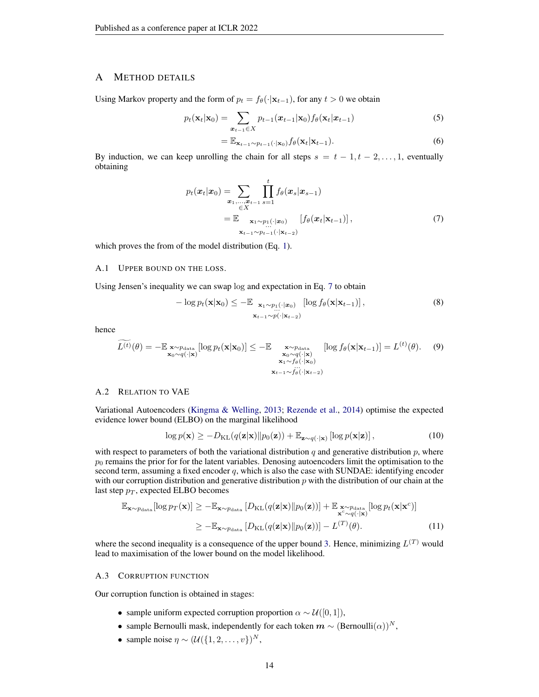### <span id="page-13-0"></span>A METHOD DETAILS

Using Markov property and the form of  $p_t = f_{\theta}(\cdot|\mathbf{x}_{t-1})$ , for any  $t > 0$  we obtain

$$
p_t(\mathbf{x}_t|\mathbf{x}_0) = \sum_{\mathbf{x}_{t-1} \in X} p_{t-1}(\mathbf{x}_{t-1}|\mathbf{x}_0) f_{\theta}(\mathbf{x}_t|\mathbf{x}_{t-1})
$$
(5)

<span id="page-13-4"></span>
$$
= \mathbb{E}_{\mathbf{x}_{t-1} \sim p_{t-1}(\cdot|\mathbf{x}_0)} f_{\theta}(\mathbf{x}_t|\mathbf{x}_{t-1}). \tag{6}
$$

By induction, we can keep unrolling the chain for all steps  $s = t - 1, t - 2, \ldots, 1$ , eventually obtaining

$$
p_t(\boldsymbol{x}_t|\boldsymbol{x}_0) = \sum_{\substack{\boldsymbol{x}_1,\dots,\boldsymbol{x}_{t-1} \\ \in X}} \prod_{s=1}^t f_{\theta}(\boldsymbol{x}_s|\boldsymbol{x}_{s-1})
$$
  
= 
$$
\mathbb{E} \sum_{\substack{\mathbf{x}_1 \sim p_1(\cdot|\boldsymbol{x}_0) \\ \mathbf{x}_{t-1} \sim p_{t-1}(\cdot|\mathbf{x}_{t-2})}} [f_{\theta}(\boldsymbol{x}_t|\mathbf{x}_{t-1})],
$$
 (7)

which proves the from of the model distribution (Eq. [1\)](#page-1-2).

### <span id="page-13-1"></span>A.1 UPPER BOUND ON THE LOSS.

Using Jensen's inequality we can swap log and expectation in Eq. [7](#page-13-4) to obtain

$$
-\log p_t(\mathbf{x}|\mathbf{x}_0) \le -\mathbb{E}_{\mathbf{x}_1 \sim p_1(\cdot|\mathbf{x}_0)} \left[ \log f_{\theta}(\mathbf{x}|\mathbf{x}_{t-1}) \right],
$$
\n
$$
\mathbf{x}_{t-1} \sim p(\cdot|\mathbf{x}_{t-2})
$$
\n(8)

hence

$$
\widetilde{L^{(t)}}(\theta) = -\mathbb{E} \underset{\mathbf{x}_0 \sim q(\cdot|\mathbf{x})}{\times} [\log p_t(\mathbf{x}|\mathbf{x}_0)] \leq -\mathbb{E} \underset{\substack{\mathbf{x}_0 \sim q(\cdot|\mathbf{x}) \\ \mathbf{x}_1 \sim f_\theta(\cdot|\mathbf{x}_0) \\ \mathbf{x}_{t-1} \sim f_\theta(\cdot|\mathbf{x}_t)}}{\log f_\theta(\mathbf{x}|\mathbf{x}_{t-1})] = L^{(t)}(\theta). \tag{9}
$$

#### <span id="page-13-2"></span>A.2 RELATION TO VAE

Variational Autoencoders [\(Kingma & Welling,](#page-11-15) [2013;](#page-11-15) [Rezende et al.,](#page-12-12) [2014\)](#page-12-12) optimise the expected evidence lower bound (ELBO) on the marginal likelihood

$$
\log p(\mathbf{x}) \ge -D_{\text{KL}}(q(\mathbf{z}|\mathbf{x})||p_0(\mathbf{z})) + \mathbb{E}_{\mathbf{z} \sim q(\cdot|\mathbf{x})} [\log p(\mathbf{x}|\mathbf{z})],
$$
\n(10)

with respect to parameters of both the variational distribution  $q$  and generative distribution  $p$ , where  $p_0$  remains the prior for for the latent variables. Denosing autoencoders limit the optimisation to the second term, assuming a fixed encoder  $q$ , which is also the case with SUNDAE: identifying encoder with our corruption distribution and generative distribution  $p$  with the distribution of our chain at the last step  $p_T$ , expected ELBO becomes

$$
\mathbb{E}_{\mathbf{x} \sim p_{\text{data}}}[\log p_{T}(\mathbf{x})] \ge -\mathbb{E}_{\mathbf{x} \sim p_{\text{data}}} [D_{\text{KL}}(q(\mathbf{z}|\mathbf{x}) \| p_{0}(\mathbf{z}))] + \mathbb{E}_{\substack{\mathbf{x} \sim p_{\text{data}} \\ \mathbf{x}^{c} \sim q(\cdot|\mathbf{x})}} [\log p_{t}(\mathbf{x}|\mathbf{x}^{c})]
$$
  
\n
$$
\ge -\mathbb{E}_{\mathbf{x} \sim p_{\text{data}}} [D_{\text{KL}}(q(\mathbf{z}|\mathbf{x}) \| p_{0}(\mathbf{z}))] - L^{(T)}(\theta). \tag{11}
$$

where the second inequality is a consequence of the upper bound [3.](#page-2-1) Hence, minimizing  $L^{(T)}$  would lead to maximisation of the lower bound on the model likelihood.

#### <span id="page-13-3"></span>A.3 CORRUPTION FUNCTION

Our corruption function is obtained in stages:

- sample uniform expected corruption proportion  $\alpha \sim \mathcal{U}([0, 1]),$
- sample Bernoulli mask, independently for each token  $m \sim (Bernoulli(\alpha))^N$ ,
- sample noise  $\eta \sim (\mathcal{U}(\{1, 2, \ldots, v\})^N)$ ,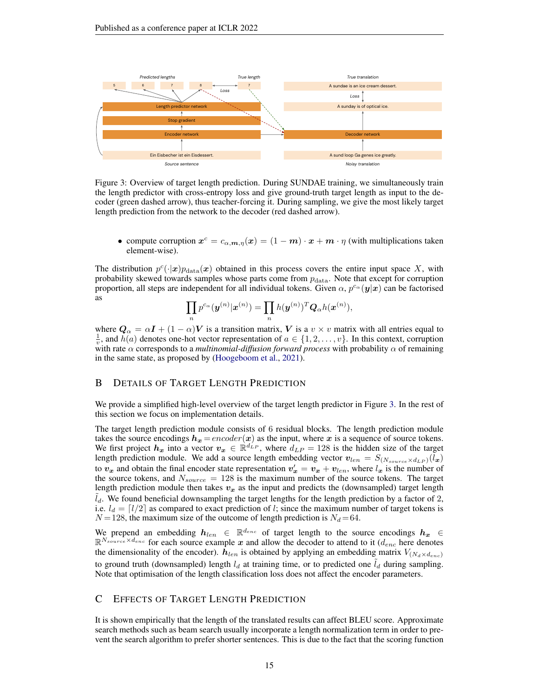<span id="page-14-2"></span>

Figure 3: Overview of target length prediction. During SUNDAE training, we simultaneously train the length predictor with cross-entropy loss and give ground-truth target length as input to the decoder (green dashed arrow), thus teacher-forcing it. During sampling, we give the most likely target length prediction from the network to the decoder (red dashed arrow).

• compute corruption  $x^c = c_{\alpha, m, \eta}(x) = (1 - m) \cdot x + m \cdot \eta$  (with multiplications taken element-wise).

The distribution  $p^c(\cdot|\mathbf{x})p_{\text{data}}(\mathbf{x})$  obtained in this process covers the entire input space X, with probability skewed towards samples whose parts come from  $p_{data}$ . Note that except for corruption proportion, all steps are independent for all individual tokens. Given  $\alpha$ ,  $p^{c_{\alpha}}(y|x)$  can be factorised as

$$
\prod_n p^{c_\alpha}(\boldsymbol{y}^{(n)}|\boldsymbol{x}^{(n)}) = \prod_n h(\boldsymbol{y}^{(n)})^T \boldsymbol{Q}_\alpha h(\boldsymbol{x}^{(n)}),
$$

where  $\mathbf{Q}_{\alpha} = \alpha \mathbf{I} + (1 - \alpha)\mathbf{V}$  is a transition matrix, V is a  $v \times v$  matrix with all entries equal to  $\frac{1}{v}$ , and  $h(a)$  denotes one-hot vector representation of  $a \in \{1, 2, ..., v\}$ . In this context, corruption with rate  $\alpha$  corresponds to a *multinomial-diffusion forward process* with probability  $\alpha$  of remaining in the same state, as proposed by [\(Hoogeboom et al.,](#page-10-3) [2021\)](#page-10-3).

## <span id="page-14-1"></span>B DETAILS OF TARGET LENGTH PREDICTION

We provide a simplified high-level overview of the target length predictor in Figure [3.](#page-14-2) In the rest of this section we focus on implementation details.

The target length prediction module consists of 6 residual blocks. The length prediction module takes the source encodings  $h_x = encoder(x)$  as the input, where x is a sequence of source tokens. We first project  $h_x$  into a vector  $v_x \in \mathbb{R}^{d'_{LP}}$ , where  $d_{LP} = 128$  is the hidden size of the target length prediction module. We add a source length embedding vector  $v_{len} = S_{(N_{source} \times d_{LP})}(l_x)$ to  $v_x$  and obtain the final encoder state representation  $v'_x = v_x + v_{len}$ , where  $l_x$  is the number of the source tokens, and  $N_{source} = 128$  is the maximum number of the source tokens. The target length prediction module then takes  $v_x$  as the input and predicts the (downsampled) target length  $l_d$ . We found beneficial downsampling the target lengths for the length prediction by a factor of 2, i.e.  $l_d = \lfloor l/2 \rfloor$  as compared to exact prediction of l; since the maximum number of target tokens is  $N = 128$ , the maximum size of the outcome of length prediction is  $N_d = 64$ .

We prepend an embedding  $h_{len} \in \mathbb{R}^{d_{enc}}$  of target length to the source encodings  $h_x \in$  $\mathbb{R}^{N_{source} \times d_{enc}}$  for each source example x and allow the decoder to attend to it ( $d_{enc}$  here denotes the dimensionality of the encoder).  $h_{len}$  is obtained by applying an embedding matrix  $V_{(N_d \times d_{enc})}$ to ground truth (downsampled) length  $l_d$  at training time, or to predicted one  $l_d$  during sampling. Note that optimisation of the length classification loss does not affect the encoder parameters.

### <span id="page-14-0"></span>C EFFECTS OF TARGET LENGTH PREDICTION

It is shown empirically that the length of the translated results can affect BLEU score. Approximate search methods such as beam search usually incorporate a length normalization term in order to prevent the search algorithm to prefer shorter sentences. This is due to the fact that the scoring function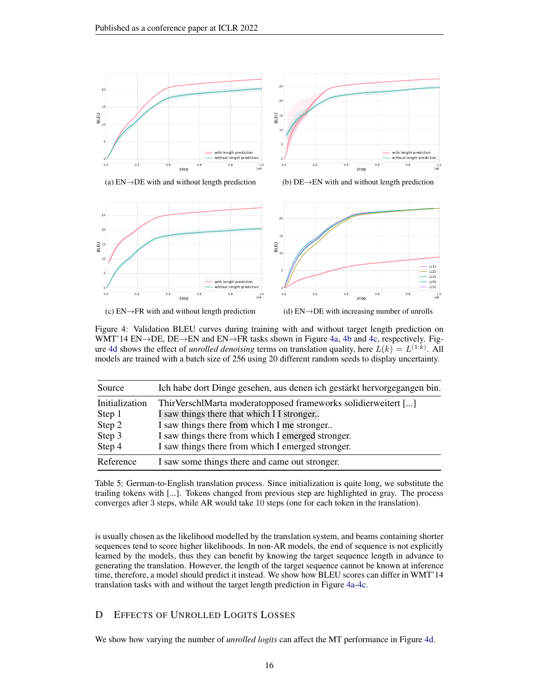<span id="page-15-0"></span>

(a)  $EN \rightarrow DE$  with and without length prediction





(c)  $EN \rightarrow FR$  with and without length prediction

(d)  $EN\rightarrow DE$  with increasing number of unrolls

Figure 4: Validation BLEU curves during training with and without target length prediction on WMT'14 EN→DE, DE→EN and EN→FR tasks shown in Figure [4a,](#page-15-0) [4b](#page-15-0) and [4c,](#page-15-0) respectively. Fig-ure [4d](#page-15-0) shows the effect of *unrolled denoising* terms on translation quality, here  $L(k) = L^{(1:k)}$ . All models are trained with a batch size of 256 using 20 different random seeds to display uncertainty.

<span id="page-15-1"></span>

| Source                   | Ich habe dort Dinge gesehen, aus denen ich gestärkt hervorgegangen bin.                                     |
|--------------------------|-------------------------------------------------------------------------------------------------------------|
| Initialization<br>Step 1 | ThirVerschlMarta moderatopposed frameworks solidierweitert []<br>I saw things there that which I I stronger |
| Step 2<br>Step 3         | I saw things there from which I me stronger<br>I saw things there from which I emerged stronger.            |
| Step 4                   | I saw things there from which I emerged stronger.                                                           |
| Reference                | I saw some things there and came out stronger.                                                              |

Table 5: German-to-English translation process. Since initialization is quite long, we substitute the trailing tokens with [...]. Tokens changed from previous step are highlighted in gray. The process converges after 3 steps, while AR would take 10 steps (one for each token in the translation).

is usually chosen as the likelihood modelled by the translation system, and beams containing shorter sequences tend to score higher likelihoods. In non-AR models, the end of sequence is not explicitly learned by the models, thus they can benefit by knowing the target sequence length in advance to generating the translation. However, the length of the target sequence cannot be known at inference time, therefore, a model should predict it instead. We show how BLEU scores can differ in WMT'14 translation tasks with and without the target length prediction in Figure [4a-4c.](#page-15-0)

# D EFFECTS OF UNROLLED LOGITS LOSSES

We show how varying the number of *unrolled logits* can affect the MT performance in Figure [4d.](#page-15-0)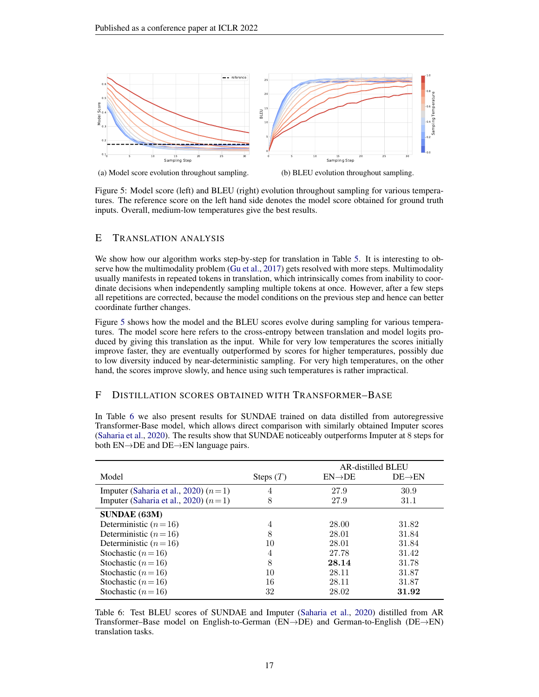<span id="page-16-3"></span>

(a) Model score evolution throughout sampling.

(b) BLEU evolution throughout sampling.

Figure 5: Model score (left) and BLEU (right) evolution throughout sampling for various temperatures. The reference score on the left hand side denotes the model score obtained for ground truth inputs. Overall, medium-low temperatures give the best results.

### <span id="page-16-0"></span>E TRANSLATION ANALYSIS

We show how our algorithm works step-by-step for translation in Table [5.](#page-15-1) It is interesting to observe how the multimodality problem [\(Gu et al.,](#page-10-2) [2017\)](#page-10-2) gets resolved with more steps. Multimodality usually manifests in repeated tokens in translation, which intrinsically comes from inability to coordinate decisions when independently sampling multiple tokens at once. However, after a few steps all repetitions are corrected, because the model conditions on the previous step and hence can better coordinate further changes.

Figure [5](#page-16-3) shows how the model and the BLEU scores evolve during sampling for various temperatures. The model score here refers to the cross-entropy between translation and model logits produced by giving this translation as the input. While for very low temperatures the scores initially improve faster, they are eventually outperformed by scores for higher temperatures, possibly due to low diversity induced by near-deterministic sampling. For very high temperatures, on the other hand, the scores improve slowly, and hence using such temperatures is rather impractical.

#### <span id="page-16-2"></span>F DISTILLATION SCORES OBTAINED WITH TRANSFORMER–BASE

In Table [6](#page-16-1) we also present results for SUNDAE trained on data distilled from autoregressive Transformer-Base model, which allows direct comparison with similarly obtained Imputer scores [\(Saharia et al.,](#page-12-5) [2020\)](#page-12-5). The results show that SUNDAE noticeably outperforms Imputer at 8 steps for both EN→DE and DE→EN language pairs.

<span id="page-16-1"></span>

|                                        |             | <b>AR-distilled BLEU</b> |                     |  |
|----------------------------------------|-------------|--------------------------|---------------------|--|
| Model                                  | Steps $(T)$ | $EN\rightarrow DE$       | $DE \rightarrow EN$ |  |
| Imputer (Saharia et al., 2020) $(n=1)$ | 4           | 27.9                     | 30.9                |  |
| Imputer (Saharia et al., 2020) $(n=1)$ | 8           | 27.9                     | 31.1                |  |
| <b>SUNDAE (63M)</b>                    |             |                          |                     |  |
| Deterministic $(n=16)$                 | 4           | 28.00                    | 31.82               |  |
| Deterministic $(n=16)$                 | 8           | 28.01                    | 31.84               |  |
| Deterministic $(n=16)$                 | 10          | 28.01                    | 31.84               |  |
| Stochastic $(n=16)$                    | 4           | 27.78                    | 31.42               |  |
| Stochastic $(n=16)$                    | 8           | 28.14                    | 31.78               |  |
| Stochastic $(n=16)$                    | 10          | 28.11                    | 31.87               |  |
| Stochastic $(n=16)$                    | 16          | 28.11                    | 31.87               |  |
| Stochastic $(n=16)$                    | 32          | 28.02                    | 31.92               |  |

Table 6: Test BLEU scores of SUNDAE and Imputer [\(Saharia et al.,](#page-12-5) [2020\)](#page-12-5) distilled from AR Transformer–Base model on English-to-German (EN→DE) and German-to-English (DE→EN) translation tasks.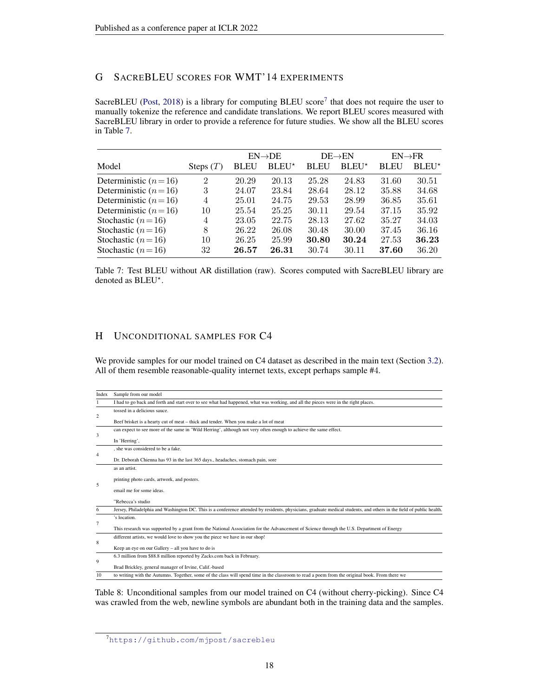## <span id="page-17-0"></span>G SACREBLEU SCORES FOR WMT'14 EXPERIMENTS

SacreBLEU [\(Post,](#page-11-7) [2018\)](#page-11-7) is a library for computing BLEU score<sup>[7](#page-17-4)</sup> that does not require the user to manually tokenize the reference and candidate translations. We report BLEU scores measured with SacreBLEU library in order to provide a reference for future studies. We show all the BLEU scores in Table [7.](#page-17-1)

<span id="page-17-1"></span>

|                        |             |             | $EN\rightarrow DE$ |             | $DE \rightarrow EN$ | $EN \rightarrow FR$ |                   |
|------------------------|-------------|-------------|--------------------|-------------|---------------------|---------------------|-------------------|
| Model                  | Steps $(T)$ | <b>BLEU</b> | $BLEU^*$           | <b>BLEU</b> | BLEU <sup>*</sup>   | <b>BLEU</b>         | BLEU <sup>*</sup> |
| Deterministic $(n=16)$ | 2           | 20.29       | 20.13              | 25.28       | 24.83               | 31.60               | 30.51             |
| Deterministic $(n=16)$ | 3           | 24.07       | 23.84              | 28.64       | 28.12               | 35.88               | 34.68             |
| Deterministic $(n=16)$ | 4           | 25.01       | 24.75              | 29.53       | 28.99               | 36.85               | 35.61             |
| Deterministic $(n=16)$ | 10          | 25.54       | 25.25              | 30.11       | 29.54               | 37.15               | 35.92             |
| Stochastic $(n=16)$    | 4           | 23.05       | 22.75              | 28.13       | 27.62               | 35.27               | 34.03             |
| Stochastic $(n=16)$    | 8           | 26.22       | 26.08              | 30.48       | 30.00               | 37.45               | 36.16             |
| Stochastic $(n=16)$    | 10          | 26.25       | 25.99              | 30.80       | 30.24               | 27.53               | 36.23             |
| Stochastic $(n=16)$    | 32          | 26.57       | 26.31              | 30.74       | 30.11               | 37.60               | 36.20             |

Table 7: Test BLEU without AR distillation (raw). Scores computed with SacreBLEU library are denoted as BLEU<sup>\*</sup>.

## <span id="page-17-3"></span>H UNCONDITIONAL SAMPLES FOR C4

We provide samples for our model trained on C4 dataset as described in the main text (Section [3.2\)](#page-5-1). All of them resemble reasonable-quality internet texts, except perhaps sample #4.

<span id="page-17-2"></span>

| Index          | Sample from our model                                                                                                                                                |
|----------------|----------------------------------------------------------------------------------------------------------------------------------------------------------------------|
|                | I had to go back and forth and start over to see what had happened, what was working, and all the pieces were in the right places.                                   |
|                | tossed in a delicious sauce.                                                                                                                                         |
| $\overline{c}$ | Beef brisket is a hearty cut of meat – thick and tender. When you make a lot of meat                                                                                 |
|                | can expect to see more of the same in 'Wild Herring', although not very often enough to achieve the same effect.                                                     |
| 3              | In 'Herring',                                                                                                                                                        |
|                | , she was considered to be a fake.                                                                                                                                   |
| $\overline{4}$ | Dr. Deborah Chienna has 93 in the last 365 days., headaches, stomach pain, sore                                                                                      |
| 5              | as an artist.                                                                                                                                                        |
|                | printing photo cards, artwork, and posters.                                                                                                                          |
|                | email me for some ideas.                                                                                                                                             |
|                | "Rebecca's studio                                                                                                                                                    |
| 6              | Jersey, Philadelphia and Washington DC. This is a conference attended by residents, physicians, graduate medical students, and others in the field of public health. |
| 7              | 's location.                                                                                                                                                         |
|                | This research was supported by a grant from the National Association for the Advancement of Science through the U.S. Department of Energy                            |
|                | different artists, we would love to show you the piece we have in our shop!                                                                                          |
| 8              | Keep an eye on our Gallery – all you have to do is                                                                                                                   |
|                | 6.3 million from \$88.8 million reported by Zacks.com back in February.                                                                                              |
| 9              | Brad Brickley, general manager of Irvine, Calif.-based                                                                                                               |
| 10             | to writing with the Autumns. Together, some of the class will spend time in the classroom to read a poem from the original book. From there we                       |

Table 8: Unconditional samples from our model trained on C4 (without cherry-picking). Since C4 was crawled from the web, newline symbols are abundant both in the training data and the samples.

<span id="page-17-4"></span><sup>7</sup><https://github.com/mjpost/sacrebleu>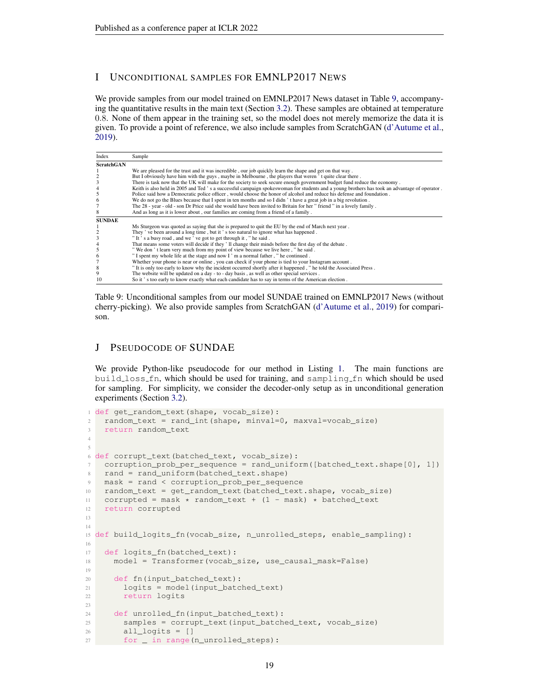## <span id="page-18-1"></span>I UNCONDITIONAL SAMPLES FOR EMNLP2017 NEWS

We provide samples from our model trained on EMNLP2017 News dataset in Table [9,](#page-18-0) accompanying the quantitative results in the main text (Section [3.2\)](#page-5-1). These samples are obtained at temperature 0.8. None of them appear in the training set, so the model does not merely memorize the data it is given. To provide a point of reference, we also include samples from ScratchGAN [\(d'Autume et al.,](#page-10-8) [2019\)](#page-10-8).

<span id="page-18-0"></span>

| Index             | Sample                                                                                                                                       |
|-------------------|----------------------------------------------------------------------------------------------------------------------------------------------|
| <b>ScratchGAN</b> |                                                                                                                                              |
|                   | We are pleased for the trust and it was incredible, our job quickly learn the shape and get on that way.                                     |
|                   | But I obviously have him with the guys, maybe in Melbourne, the players that weren't quite clear there.                                      |
|                   | There is task now that the UK will make for the society to seek secure enough government budget fund reduce the economy.                     |
|                   | Keith is also held in 2005 and Ted's a successful campaign spokes woman for students and a young brothers has took an advantage of operator. |
|                   | Police said how a Democratic police officer, would choose the honor of alcohol and reduce his defense and foundation.                        |
|                   | We do not go the Blues because that I spent in ten months and so I didn't have a great job in a big revolution.                              |
|                   | The 28 - year - old - son Dr Price said she would have been invited to Britain for her "friend" in a lovely family.                          |
|                   | And as long as it is lower about, our families are coming from a friend of a family.                                                         |
| <b>SUNDAE</b>     |                                                                                                                                              |
|                   | Ms Sturgeon was quoted as saying that she is prepared to quit the EU by the end of March next year.                                          |
|                   | They' ve been around a long time, but it's too natural to ignore what has happened.                                                          |
|                   | "It's a busy road, and we've got to get through it, "he said.                                                                                |
|                   | That means some voters will decide if they'll change their minds before the first day of the debate.                                         |
|                   | "We don't learn very much from my point of view because we live here, "he said.                                                              |
| 6                 | "I spent my whole life at the stage and now I ' m a normal father, " he continued.                                                           |
|                   | Whether your phone is near or online, you can check if your phone is tied to your Instagram account.                                         |
| 8                 | " It is only too early to know why the incident occurred shortly after it happened, " he told the Associated Press.                          |
|                   | The website will be updated on a day - to - day basis, as well as other special services.                                                    |
| 10                | So it's too early to know exactly what each candidate has to say in terms of the American election.                                          |

Table 9: Unconditional samples from our model SUNDAE trained on EMNLP2017 News (without cherry-picking). We also provide samples from ScratchGAN [\(d'Autume et al.,](#page-10-8) [2019\)](#page-10-8) for comparison.

## J PSEUDOCODE OF SUNDAE

We provide Python-like pseudocode for our method in Listing [1.](#page-18-2) The main functions are build loss fn, which should be used for training, and sampling fn which should be used for sampling. For simplicity, we consider the decoder-only setup as in unconditional generation experiments (Section [3.2\)](#page-5-1).

```
1 def get_random_text(shape, vocab_size):
2 random_text = rand_int(shape, minval=0, maxval=vocab_size)
    3 return random_text
4
5
6 def corrupt_text(batched_text, vocab_size):
7 corruption_prob_per_sequence = rand_uniform([batched_text.shape[0], 1])
8 rand = rand_uniform(batched_text.shape)
9 mask = rand < corruption_prob_per_sequence
10 random_text = get_random_text(batched_text.shape, vocab_size)
11 corrupted = mask * random_text + (1 - mask) * batched_text
12 return corrupted
13
14
15 def build_logits_fn(vocab_size, n_unrolled_steps, enable_sampling):
16
17 def logits_fn(batched_text):
18 model = Transformer(vocab_size, use_causal_mask=False)
19
20 def fn(input_batched_text):
21 logits = model(input_batched_text)
22 return logits
23
24 def unrolled_fn(input_batched_text):
25 samples = corrupt_text(input_batched_text, vocab_size)
26 all_logits = []
27 for _ in range(n_unrolled_steps):
```